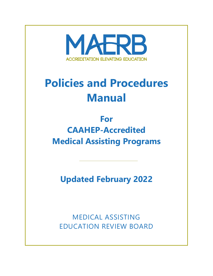

# **Policies and Procedures Manual**

## **For CAAHEP-Accredited Medical Assisting Programs**

**Updated February 2022**

MEDICAL ASSISTING EDUCATION REVIEW BOARD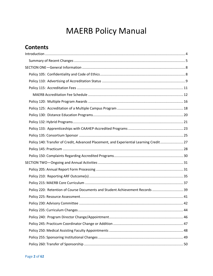## **MAERB Policy Manual**

### **Contents**

| Policy 140: Transfer of Credit, Advanced Placement, and Experiential Learning Credit 27 |  |
|-----------------------------------------------------------------------------------------|--|
|                                                                                         |  |
|                                                                                         |  |
|                                                                                         |  |
|                                                                                         |  |
|                                                                                         |  |
|                                                                                         |  |
| Policy 220: Retention of Course Documents and Student Achievement Records  39           |  |
|                                                                                         |  |
|                                                                                         |  |
|                                                                                         |  |
|                                                                                         |  |
|                                                                                         |  |
|                                                                                         |  |
|                                                                                         |  |
|                                                                                         |  |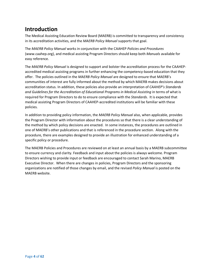### <span id="page-3-0"></span>**Introduction**

The Medical Assisting Education Review Board (MAERB) is committed to transparency and consistency in its accreditation activities, and the *MAERB Policy Manual* supports that goal.

The *MAERB Policy Manual* works in conjunction with the CAAHEP *Policies and Procedures*  (www.caahep.org), and medical assisting Program Directors should keep both *Manuals* available for easy reference.

The *MAERB Policy Manual* is designed to support and bolster the accreditation process for the CAAHEPaccredited medical assisting programs in further enhancing the competency-based education that they offer. The policies outlined in the *MAERB Policy Manual* are designed to ensure that MAERB's communities of interest are fully informed about the method by which MAERB makes decisions about accreditation status. In addition, these policies also provide an interpretation of *CAAHEP's Standards and Guidelines for the Accreditation of Educational Programs in Medical Assisting* in terms of what is required for Program Directors to do to ensure compliance with the *Standards*. It is expected that medical assisting Program Directors of CAAHEP-accredited institutions will be familiar with these policies.

In addition to providing policy information, the *MAERB Policy Manual* also, when applicable, provides the Program Director with information about the procedures so that there is a clear understanding of the method by which policy decisions are enacted. In some instances, the procedures are outlined in one of MAERB's other publications and that is referenced in the procedure section. Along with the procedure, there are examples designed to provide an illustration for enhanced understanding of a specific policy or procedure.

The MAERB Policies and Procedures are reviewed on at least an annual basis by a MAERB subcommittee to ensure currency and clarity. Feedback and input about the policies is always welcome. Program Directors wishing to provide input or feedback are encouraged to contact Sarah Marino, MAERB Executive Director. When there are changes in policies, Program Directors and the sponsoring organizations are notified of those changes by email, and the revised *Policy Manual* is posted on the MAERB website.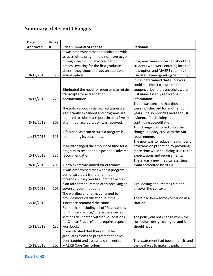### <span id="page-4-0"></span>**Summary of Recent Changes**

| <b>Date</b>     | <b>Policy</b> |                                               |                                         |
|-----------------|---------------|-----------------------------------------------|-----------------------------------------|
| <b>Approved</b> | #             | <b>Brief Summary of change</b>                | Rationale                               |
|                 |               | It was determined that an institution with    |                                         |
|                 |               | an accredited program did not have to go      |                                         |
|                 |               | through the full initial accreditation        | Programs were concerned about the       |
|                 |               | process (waiting for the first graduate       | students who were entering into the     |
|                 |               | class) if they choose to add an additional    | new option and MAERB retained the       |
| 8/17/2018       | 120           | award option.                                 | use of an award granting Self Study.    |
|                 |               |                                               | It was determined that surveyors        |
|                 |               |                                               | could still check transcripts for       |
|                 |               | Eliminated the need for programs to retain    | sequence, but the transcripts were      |
|                 |               | transcripts for accreditation                 | just unnecessarily replicating          |
| 8/17/2018       | 220           | documentation.                                | information.                            |
|                 |               |                                               | There was concern that those items      |
|                 |               | The policy about initial accreditation was    | were not checked for another 10         |
|                 |               | significantly expanded and programs are       | years. It also provides more robust     |
|                 |               | required to submit a report three 1/2 years   | evidence for deciding about             |
| 8/16/2018       | 305           | after initial accreditation was received.     | continuing accreditation.               |
|                 |               |                                               | This change was based upon the          |
|                 |               | A focused visit can occur if a program is     | change in Policy 205, with the ARF      |
| 11/17/2018      | 315           | not meeting its outcomes.                     | requirements.                           |
|                 |               |                                               | The goal was to reduce the number of    |
|                 |               | MAERB changed the amount of time for a        | programs on probation by providing      |
|                 |               | program to respond to a potential adverse     | more time while still being true to the |
| 2/17/2018       | 335           | recommendation.                               | expectations and requirements.          |
|                 |               |                                               | There was a new medical assisting       |
| 8/16/2018       | 205           | A new exam was added for outcomes.            | exam accredited by NCCA.                |
|                 |               | It was determined that when a program         |                                         |
|                 |               | demonstrated a trend of unmet                 |                                         |
|                 |               | thresholds, they would submit an action       |                                         |
|                 |               | plan rather than immediately receiving an     | Just looking at outcomes did not        |
| 8/17/2018       | 205           | adverse recommendation.                       | uncover the context.                    |
|                 |               | The wording and format changed to             |                                         |
|                 |               | provide more clarification, but the           | There had been some confusion in a      |
| 2/18/2018       | 110           | substance remained the same.                  | citation.                               |
|                 |               | Rather than including all of "Foundations     |                                         |
|                 |               | for Clinical Practice," there were certain    |                                         |
|                 |               | sections delineated within "Foundations       | The policy did not change when the      |
|                 |               | for Clinical Practice" that require a special | curriculum design changed, and it       |
| 2/18/2018       | 132           | workbook.                                     | should have.                            |
|                 |               | It was clarified that there must be           |                                         |
|                 |               | graduates from the program that have          |                                         |
|                 |               | been taught and assessed o the entire         | That statement had been implicit, and   |
| 2/18/2018       | 305           | <b>MAERB Core Curriculum</b>                  | the goal was to make it explicit.       |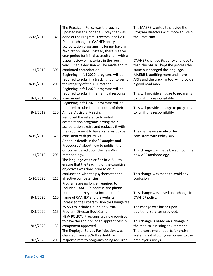|           |     | The Practicum Policy was thoroughly                                                      | The MAERB wanted to provide the                                               |
|-----------|-----|------------------------------------------------------------------------------------------|-------------------------------------------------------------------------------|
| 2/18/2018 | 145 | updated based upon the survey that was                                                   | Program Directors with more advice o<br>the Practicum.                        |
|           |     | done of the Program Directors in fall 2016.<br>Due to a change in CAAHEP policy, initial |                                                                               |
|           |     | accreditation programs no longer have an                                                 |                                                                               |
|           |     | "expiration" date. Instead, there is a five                                              |                                                                               |
|           |     | year period for initial accreditation, with a                                            |                                                                               |
|           |     | paper review of materials in the fourth                                                  |                                                                               |
|           |     | year. Then a decision will be made about                                                 | CAAHEP changed its policy and, due to<br>that, the MAERB kept the process the |
| 1/1/2019  | 305 | continued accreditation.                                                                 | same but changed the language.                                                |
|           |     | Beginning in fall 2020, programs will be                                                 | MAERB is auditing more and more                                               |
|           |     | required to submit a tracking tool to verify                                             | ARFs and the tracking tool will provide                                       |
| 8/19/2019 | 205 | the integrity of the ARF material.                                                       | a good road map.                                                              |
|           |     |                                                                                          |                                                                               |
|           |     | Beginning in fall 2020, programs will be<br>required to submit their annual resource     | This will provide a nudge to programs                                         |
| 8/1/2019  | 225 | assessment.                                                                              | to fulfill this responsibility.                                               |
|           |     | Beginning in fall 2020, programs will be                                                 |                                                                               |
|           |     | required to submit the minutes of their                                                  | This will provide a nudge to programs                                         |
| 8/1/2019  | 230 | <b>Annual Advisory Meeting</b>                                                           | to fulfill this responsibility.                                               |
|           |     | Removed the reference to initial                                                         |                                                                               |
|           |     | accreditation programs having their                                                      |                                                                               |
|           |     | accreditation expire and replaced it with                                                |                                                                               |
|           |     | the requirement to have a site visit to be                                               | The change was made to be                                                     |
| 8/19/2019 | 325 | consistent with policy 305.                                                              | consistent with Policy 305.                                                   |
|           |     | Added in details in the "Examples and                                                    |                                                                               |
|           |     | Procedures" about how to publish the                                                     |                                                                               |
|           |     | outcomes based upon the new ARF                                                          | This change was made based upon the                                           |
| 11/1/2019 | 205 | methodology.                                                                             | new ARF methodology.                                                          |
|           |     | The language was clarified in 215.III to                                                 |                                                                               |
|           |     | ensure that the teaching of the cognitive                                                |                                                                               |
|           |     | objectives was done prior to or in                                                       |                                                                               |
|           |     | conjunction with the psychomotor and                                                     | This change was made to avoid any                                             |
| 1/20/2020 | 215 | affective competencies                                                                   | confusion.                                                                    |
|           |     | Programs are no longer required to                                                       |                                                                               |
|           |     | included CAAHEP's address and phone                                                      |                                                                               |
|           |     | number, but they must include the full                                                   | This change was based on a change in                                          |
| 8/3/2020  | 110 | name of CAAHEP and the website.                                                          | CAAHEP policy.                                                                |
|           |     | Increased the Program Director Change fee                                                |                                                                               |
|           |     | by \$50 to include a bundled Virtual                                                     | The change was based upon                                                     |
| 8/3/2020  | 115 | Program Director Boot Camp.                                                              | additional services provided.                                                 |
|           |     | NEW POLICY. Programs are now required                                                    |                                                                               |
|           |     | to have the addition of an apprenticeship                                                | This change is based on a change in                                           |
| 8/3/2020  | 133 | component approved.                                                                      | the medical assisting environment.                                            |
|           |     | The Employer Survey Participation was                                                    | There were more reports for entire                                            |
|           |     | changed from a 30% threshold for                                                         | systems not allowing responses to the                                         |
| 8/3/2020  | 205 | response rate to programs being required                                                 | employer surveys.                                                             |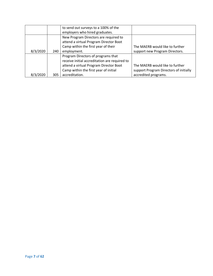|          |     | to send out surveys to a 100% of the          |                                        |
|----------|-----|-----------------------------------------------|----------------------------------------|
|          |     | employers who hired graduates.                |                                        |
|          |     | New Program Directors are required to         |                                        |
|          |     | attend a virtual Program Director Boot        |                                        |
|          |     | Camp within the first year of their           | The MAERB would like to further        |
| 8/3/2020 | 240 | employment.                                   | support new Program Directors.         |
|          |     | Program Directors of programs that            |                                        |
|          |     | receive initial accreditation are required to |                                        |
|          |     | attend a virtual Program Director Boot        | The MAERB would like to further        |
|          |     | Camp within the first year of initial         | support Program Directors of initially |
| 8/3/2020 | 305 | accreditation.                                | accredited programs.                   |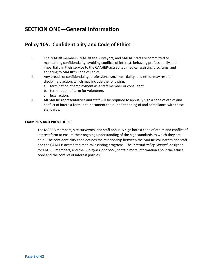### <span id="page-7-0"></span>**SECTION ONE—General Information**

### <span id="page-7-1"></span>**Policy 105: Confidentiality and Code of Ethics**

- I. The MAERB members, MAERB site surveyors, and MAERB staff are committed to maintaining confidentiality, avoiding conflicts of interest, behaving professionally and impartially in their service to the CAAHEP-accredited medical assisting programs, and adhering to MAERB's Code of Ethics.
- II. Any breach of confidentiality, professionalism, impartiality, and ethics may result in disciplinary action, which may include the following:
	- a. termination of employment as a staff member or consultant
	- b. termination of term for volunteers
	- c. legal action.
- III. All MAERB representatives and staff will be required to annually sign a code of ethics and conflict of interest form in to document their understanding of and compliance with these standards.

#### **EXAMPLES AND PROCEDURES**

The MAERB members, site surveyors, and staff annually sign both a code of ethics and conflict of interest form to ensure their ongoing understanding of the high standards to which they are held. The confidentiality code defines the relationship between the MAERB volunteers and staff and the CAAHEP-accredited medical assisting programs. The *Internal Policy Manual*, designed for MAERB members, and the *Surveyor Handbook*, contain more information about the ethical code and the conflict of interest policies.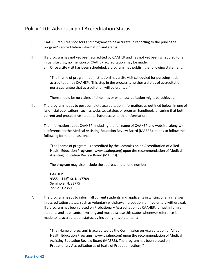### <span id="page-8-0"></span>Policy 110: Advertising of Accreditation Status

- I. CAAHEP requires sponsors and programs to be accurate in reporting to the public the program's accreditation information and status.
- II. If a program has not yet been accredited by CAAHEP and has not yet been scheduled for an initial site visit, no mention of CAAHEP accreditation may be made.
	- a. Once a site visit has been scheduled, a program may publish the following statement:

"The [name of program] at [institution] has a site visit scheduled for pursuing initial accreditation by CAAHEP. This step in the process is neither a status of accreditation nor a guarantee that accreditation will be granted."

There should be no claims of timelines or when accreditation might be achieved.

III. The program needs to post complete accreditation information, as outlined below, in one of its official publications, such as website, catalog, or program handbook, ensuring that both current and prospective students, have access to that information.

The information about CAAHEP, including the full name of CAAHEP and website, along with a reference to the Medical Assisting Education Review Board (MAERB), needs to follow the following format at least once:

"The [name of program] is accredited by the Commission on Accreditation of Allied Health Education Programs (www.caahep.org) upon the recommendation of Medical Assisting Education Review Board (MAERB)."

The program may also include the address and phone number:

CAAHEP 9355 – 113th St. N, #7709 Seminole, FL 33775 727-210-2350

IV. The program needs to inform all current students and applicants in writing of any changes in accreditation status, such as voluntary withdrawal, probation, or involuntary withdrawal. If a program has been placed on Probationary Accreditation by CAAHEP, it must inform all students and applicants in writing and must disclose this status whenever reference is made to its accreditation status, by including this statement:

> "The [Name of program] is accredited by the Commission on Accreditation of Allied Health Education Programs (www.caahep.org) upon the recommendation of Medical Assisting Education Review Board (MAERB)**.** The program has been placed on Probationary Accreditation as of [date of Probation action]."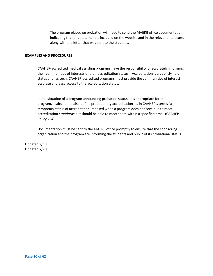The program placed on probation will need to send the MAERB office documentation indicating that this statement is included on the website and in the relevant literature, along with the letter that was sent to the students.

#### **EXAMPLES AND PROCEDURES**

CAAHEP-accredited medical assisting programs have the responsibility of accurately informing their communities of interests of their accreditation status. Accreditation is a publicly held status and, as such, CAAHEP-accredited programs must provide the communities of interest accurate and easy access to the accreditation status.

In the situation of a program announcing probation status, it is appropriate for the program/institution to also define probationary accreditation as, in CAAHEP's terms "a temporary status of accreditation imposed when a program does not continue to meet accreditation *Standards* but should be able to meet them within a specified time" (CAAHEP Policy 204).

Documentation must be sent to the MAERB office promptly to ensure that the sponsoring organization and the program are informing the students and public of its probational status.

Updated 2/18 Updated 7/20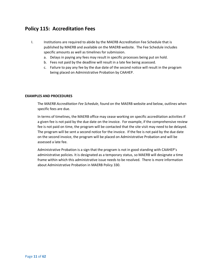### <span id="page-10-0"></span>**Policy 115: Accreditation Fees**

- I. Institutions are required to abide by the MAERB Accreditation Fee Schedule that is published by MAERB and available on the MAERB website. The Fee Schedule includes specific amounts as well as timelines for submission.
	- a. Delays in paying any fees may result in specific processes being put on hold.
	- b. Fees not paid by the deadline will result in a late fee being assessed.
	- c. Failure to pay any fee by the due date of the second notice will result in the program being placed on Administrative Probation by CAAHEP.

### **EXAMPLES AND PROCEDURES**

The *MAERB Accreditation Fee Schedule*, found on the MAERB website and below, outlines when specific fees are due.

In terms of timelines, the MAERB office may cease working on specific accreditation activities if a given fee is not paid by the due date on the invoice. For example, if the comprehensive review fee is not paid on time, the program will be contacted that the site visit may need to be delayed. The program will be sent a second notice for the invoice. If the fee is not paid by the due date on the second invoice, the program will be placed on Administrative Probation and will be assessed a late fee.

Administrative Probation is a sign that the program is not in good standing with CAAHEP's administrative policies. It is designated as a temporary status, so MAERB will designate a time frame within which this administrative issue needs to be resolved. There is more information about Administrative Probation in MAERB Policy 330.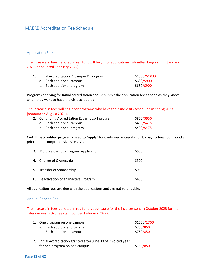### <span id="page-11-0"></span>MAERB Accreditation Fee Schedule

#### Application Fees

The increase in fees denoted in red font will begin for applications submitted beginning in January 2023 (announced February 2022).

|  | 1. Initial Accreditation (1 campus/1 program) | \$1500/\$1800 |
|--|-----------------------------------------------|---------------|
|  | a. Each additional campus                     | \$650/\$900   |
|  | b. Each additional program                    | \$650/\$900   |

Programs applying for Initial accreditation should submit the application fee as soon as they know when they want to have the visit scheduled.

The increase in fees will begin for programs who have their site visits scheduled in spring 2023 (announced August 2021).

| 2. Continuing Accreditation (1 campus/1 program) | \$800/\$950                |             |
|--------------------------------------------------|----------------------------|-------------|
|                                                  | a. Each additional campus  | \$400/\$475 |
|                                                  | b. Each additional program | \$400/\$475 |

CAAHEP-accredited programs need to "apply" for continued accreditation by paying fees four months prior to the comprehensive site visit.

| 3. Multiple Campus Program Application | \$500 |
|----------------------------------------|-------|
| 4. Change of Ownership                 | \$500 |
| 5. Transfer of Sponsorship             | \$950 |
| 6. Reactivation of an Inactive Program | \$400 |

All application fees are due with the applications and are not refundable.

#### Annual Service Fee

The increase in fees denoted in red font is applicable for the invoices sent in October 2023 for the calendar year 2023 fees (announced February 2022).

|  | 1. One program on one campus | \$1500/1700 |
|--|------------------------------|-------------|
|  | a. Each additional program   | \$750/850   |
|  | b. Each additional campus    | \$750/850   |

2. Initial Accreditation granted after June 30 of invoiced year for one program on one campus`  $$750/850$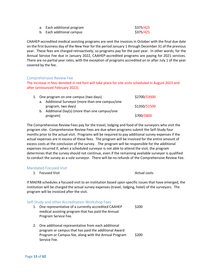| a. Each additional program | \$375/425 |
|----------------------------|-----------|
| b. Each additional campus  | \$375/425 |

CAAHEP-accredited medical assisting programs are sent the invoices in October with the final due date on the first business day of the New Year for the period January 1 through December 31 of the previous year. These fees are charged retroactively, so programs pay for the past year. In other words, for the Annual Service Fee due in January 2022, CAAHEP-accredited programs are paying for 2021 services. There are no partial year rates, with the exception of programs accredited on or after July 1 of the year covered by the fee.

#### Comprehensive Review Fee

The increase in fees denoted in red font will take place for site visits scheduled in August 2023 and after (announced February 2022).

|  | 1. One program on one campus (two days)          | \$2700/\$3000 |
|--|--------------------------------------------------|---------------|
|  | a. Additional Surveyor (more than one campus/one |               |
|  | program, two days)                               | \$1350/\$1500 |
|  | b. Additional Day(s) (more than one campus/one   |               |
|  | program)                                         | \$700/\$800   |

The Comprehensive Review Fees pay for the travel, lodging and food of the surveyors who visit the program site. Comprehensive Review Fees are due when programs submit the Self-Study four months prior to the actual visit. Programs will be required to pay additional survey expenses if the actual expenses are in excess of these fees. The program will be invoiced for the entire amount of excess costs at the conclusion of the survey. The program will be responsible for the additional expenses incurred if, when a scheduled surveyor is not able to attend the visit, the program determines that the survey should not continue, even if the remaining available surveyor is qualified to conduct the survey as a sole surveyor. There will be no refunds of the Comprehensive Review Fee.

#### Mandated Focused Visit

1. Focused Visit **Actual costs** Actual costs

If MAERB schedules a focused visit to an institution based upon specific issues that have emerged, the institution will be charged the actual survey expenses (travel, lodging, hotel) of the surveyors. The program will be invoiced after the visit.

#### Self-Study and other Accreditation Workshop Fees 1. One representative of a currently accredited CAAHEP medical assisting program that has paid the Annual Program Service Fee. \$200 2. One additional representative from each additional program or campus that has paid the additional Award Program or Campus fee, along with the Annual Program Service Fee. \$200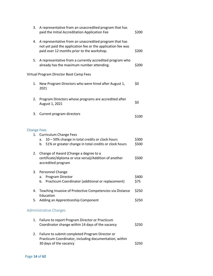| 3.                 | A representative from an unaccredited program that has<br>paid the Initial Accreditation Application Fee                                                            | \$200          |
|--------------------|---------------------------------------------------------------------------------------------------------------------------------------------------------------------|----------------|
| 4.                 | A representative from an unaccredited program that has<br>not yet paid the application fee or the application fee was<br>paid over 12 months prior to the workshop. | \$200          |
| 5.                 | A representative from a currently accredited program who<br>already has the maximum number attending.                                                               | \$200          |
|                    | Virtual Program Director Boot Camp Fees                                                                                                                             |                |
| 1.                 | New Program Directors who were hired after August 1,<br>2021                                                                                                        | \$0            |
| 2.                 | Program Directors whose programs are accredited after<br>August 1, 2021                                                                                             | \$0            |
| 3.                 | Current program directors                                                                                                                                           | \$100          |
| <b>Change Fees</b> |                                                                                                                                                                     |                |
| 1.                 | <b>Curriculum Change Fees</b><br>10 - 50% change in total credits or clock hours<br>a.<br>51% or greater change in total credits or clock hours<br>b.               | \$300<br>\$500 |
| 2.                 | Change of Award (Change a degree to a<br>certificate/diploma or vice versa)/Addition of another<br>accredited program                                               | \$500          |
| 3.                 | Personnel Change<br>Program Director<br>a.<br>Practicum Coordinator (additional or replacement)<br>b.                                                               | \$400<br>\$75  |
| 4.                 | Teaching Invasive of Protective Competencies via Distance                                                                                                           | \$250          |
| 5.                 | Education<br>Adding an Apprenticeship Component                                                                                                                     | \$250          |
|                    | <b>Administrative Charges</b>                                                                                                                                       |                |
| 1.                 | Failure to report Program Director or Practicum<br>Coordinator change within 14 days of the vacancy                                                                 | \$250          |
| 2.                 | Failure to submit completed Program Director or<br>Practicum Coordinator, including documentation, within<br>30 days of the vacancy                                 | \$250          |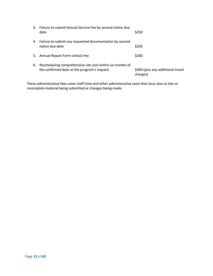|    | 3. Failure to submit Annual Service Fee by second notice due<br>date                                      | \$250                                         |
|----|-----------------------------------------------------------------------------------------------------------|-----------------------------------------------|
|    | 4. Failure to submit any requested documentation by second<br>notice due date                             | \$250                                         |
|    | 5. Annual Report Form Unlock Fee                                                                          | \$200                                         |
| 6. | Rescheduling comprehensive site visit within six months of<br>the confirmed date at the program's request | \$500 (plus any additional travel<br>charges) |

These administrative fees cover staff time and other administrative costs that incur due to late or incomplete material being submitted or changes being made.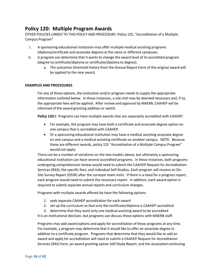### <span id="page-15-0"></span>**Policy 120: Multiple Program Awards**

OTHER POLICIES LINKED TO THIS POLICY AND PROCEDURE: Policy 125, "Accreditation of a Multiple Campus Program"

- I. A sponsoring educational institution may offer multiple medical assisting programs (diploma/certificate and associate degree) at the same or different campuses.
- II. A program can determine that it wants to change the award level of its accredited program (degree to certificate/diploma or certificate/diploma to degree).
	- a. The outcomes threshold history from the Annual Report Form of the original award will be applied to the new award.

### **EXAMPLES AND PROCEDURES**

For any of these options, the institution and/or program needs to supply the appropriate information outlined below. In these instances, a site visit may be deemed necessary and, if so, the appropriate fees will be applied. After review and approval by MAERB, CAAHEP will be informed of the award granting addition or switch.

**Policy 120.1:** Programs can have multiple awards that are separately accredited with CAAHEP.

- For example, the program may have both a certificate and associate degree option on one campus that is accredited with CAAHEP.
- Or a sponsoring educational institution may have a medical assisting associate degree on one campus and a medical assisting certificate on another campus. NOTE: Because these are different awards, policy 125 "Accreditation of a Multiple Campus Program" would not apply.

There can be a number of variations on the two models above, but ultimately a sponsoring educational institution can have several accredited programs. In these instances, both programs undergoing comprehensive review would need to submit the CAAHEP Request for Accreditation Services (RAS), the specific fees, and individual Self-Studies. Each program will receive an On-Site Survey Report (OSSR) after the surveyor team visits. If there is a need for a progress report, each program would need to submit the necessary report. In addition, each award option is required to submit separate annual reports and curriculum changes.

Programs with multiple awards offered do have the following options:

- 1. seek separate CAAHEP accreditation for each award
- 2. set up the curriculum so that only the certificate/diploma is CAAHEP-accredited
- 3. determine that they want only one medical assisting award to be accredited

It is an institutional decision, but programs can discuss these options with MAERB staff.

Programs may add award options and apply for accreditation of those programs at any time. For example, a program may determine that it would like to offer an associate degree in addition to a certificate program. Programs that determine that they would like to add an award and apply for accreditation will need to submit a CAAHEP Request for Accreditation Services (RAS) form, an award granting option Self Study Report, and the associated continuing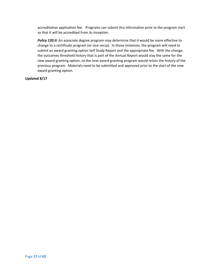accreditation application fee. Programs can submit this information prior to the program start so that it will be accredited from its inception.

Policy 120.II: An associate degree program may determine that it would be more effective to change to a certificate program (or vice versa). In those instances, the program will need to submit an award granting option Self Study Report and the appropriate fee. With the change, the outcomes threshold history that is part of the Annual Report would stay the same for the new award granting option, so the new award granting program would retain the history of the previous program. Materials need to be submitted and approved prior to the start of the new award granting option.

### **Updated 8/17**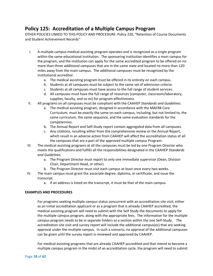### <span id="page-17-0"></span>**Policy 125: Accreditation of a Multiple Campus Program**

OTHER POLICIES LINKED TO THIS POLICY AND PROCEDURE: Policy 220, "Retention of Course Documents and Student Achievement Records"

- I. A multiple campus medical assisting program operates and is recognized as a single program within the same educational institution. The sponsoring institution identifies a main campus for the program, and the institution can apply for the same accredited program to be offered on no more than three additional campuses that are in the same state and located no more than 120 miles away from the main campus. The additional campuses must be recognized by the institutional accreditor.
	- a. The medical assisting program must be offered in its entirety on each campus.
	- b. Students at all campuses must be subject to the same set of admission criteria.
	- c. Students at all campuses must have access to the full range of student services.
	- d. All campuses must have the full range of resources (computer, classroom/laboratory, supplies, faculty, and so on) for program effectiveness
- II. All programs on all campuses must be compliant with the CAAHEP *Standards and Guidelines*.
	- a. The medical assisting program, designed in accordance with the MAERB Core Curriculum, must be exactly the same on each campus, including, but not limited to, the same curriculum, the same sequence, and the same evaluation standards for the competencies.
	- b. The Annual Report and Self-Study report contain aggregated data from all campuses.
	- c. Any citations, resulting either from the comprehensive review or the Annual Report, which result in an adverse action from CAAHEP will affect the accreditation status of all the campuses that are a part of the approved multiple campus Program.
- III. The medical assisting programs at all the campuses must be led by one Program Director who meets the qualifications and fulfills all the responsibilities designated in the CAAHEP *Standards and Guidelines.* 
	- a. The Program Director must report to only one immediate supervisor (Dean, Division Chair, Department Head, or other).
	- b. The Program Director must visit each campus at least once every two weeks.
- IV. The main campus must grant the associate degree, diploma, or certificate, and issue the transcript.
	- a. If an address is listed on the transcript, it must be that of the main campus.

### **EXAMPLES AND PROCEDURES**

For programs seeking multiple campus status concurrent with an accreditation site visit, either as an initial accreditation applicant or as a program that is already CAAHEP accredited, the medical assisting program will need to submit with the Self Study the documents to apply for the multiple campus program, along with the appropriate fees. The information for the multiple campus program needs to be in separate folders as a section within the one Self-Study. The accreditation site visit and survey report will include the additional campus(es) that are seeking approval under the multiple campus. In such a scenario, no approval of the additional campuses can be given until the survey report is reviewed and approved by CAAHEP.

For medical assisting programs that are already CAAHEP-accredited and that intend to become a multiple campus program in the midst of an accreditation cycle, the program will need to submit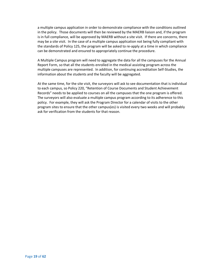a multiple campus application in order to demonstrate compliance with the conditions outlined in the policy. Those documents will then be reviewed by the MAERB liaison and, if the program is in full compliance, will be approved by MAERB without a site visit. If there are concerns, there may be a site visit. In the case of a multiple campus application not being fully compliant with the standards of Policy 125, the program will be asked to re-apply at a time in which compliance can be demonstrated and ensured to appropriately continue the procedure.

A Multiple Campus program will need to aggregate the data for all the campuses for the Annual Report Form, so that all the students enrolled in the medical assisting program across the multiple campuses are represented. In addition, for continuing accreditation Self-Studies, the information about the students and the faculty will be aggregated.

At the same time, for the site visit, the surveyors will ask to see documentation that is individual to each campus, so Policy 220, "Retention of Course Documents and Student Achievement Records" needs to be applied to courses on all the campuses that the one program is offered. The surveyors will also evaluate a multiple campus program according to its adherence to this policy. For example, they will ask the Program Director for a calendar of visits to the other program sites to ensure that the other campus(es) is visited every two weeks and will probably ask for verification from the students for that reason.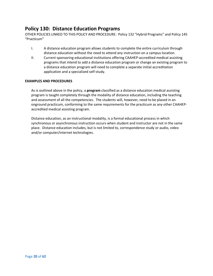### <span id="page-19-0"></span>**Policy 130: Distance Education Programs**

OTHER POLICIES LINKED TO THIS POLICY AND PROCEDURE: Policy 132 "Hybrid Programs" and Policy 145 "Practicum"

- I. A distance education program allows students to complete the entire curriculum through distance education without the need to attend any instruction on a campus location.
- II. Current sponsoring educational institutions offering CAAHEP-accredited medical assisting programs that intend to add a distance education program or change an existing program to a distance education program will need to complete a separate initial accreditation application and a specialized self-study.

#### **EXAMPLES AND PROCEDURES**

As is outlined above in the policy, a **program** classified as a distance education medical assisting program is taught completely through the modality of distance education, including the teaching and assessment of all the competencies. The students will, however, need to be placed in an onground practicum, conforming to the same requirements for the practicum as any other CAAHEPaccredited medical assisting program.

Distance education, as an instructional modality, is a formal educational process in which synchronous or asynchronous instruction occurs when student and instructor are not in the same place. Distance education includes, but is not limited to, correspondence study or audio, video and/or computer/internet technologies.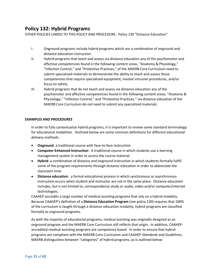### <span id="page-20-0"></span>**Policy 132: Hybrid Programs**

OTHER POLICIES LINKED TO THIS POLICY AND PROCEDURE: Policy 130 "Distance Education"

- I. Onground programs include hybrid programs which are a combination of onground and distance education instruction.
- II. Hybrid programs that teach and assess via distance education any of the psychomotor and affective competencies found in the following content areas, "Anatomy & Physiology," "Infection Control," and "Protective Practices," of the MAERB Core Curriculum need to submit specialized materials to demonstrate the ability to teach and assess those competencies that require specialized equipment, involve intrusive procedures, and/or focus on safety.
- III. Hybrid programs that do not teach and assess via distance education any of the psychomotor and affective competencies found in the following content areas, "Anatomy & Physiology," "Infection Control," and "Protective Practices," via distance education of the MAERB Core Curriculum do not need to submit any specialized materials.

#### **EXAMPLES AND PROCEDURES**

In order to fully contextualize hybrid programs, it is important to review some standard terminology for educational modalities. Outlined below are some common definitions for different educational delivery methods:

- **Onground**: a traditional course with face-to-face instruction
- **Computer-Enhanced Instruction**: A traditional course in which students use a learning management system in order to access the course material.
- **Hybrid**: a combination of distance and onground instruction in which students formally fulfill some of the program requirements through distance education in order to abbreviate the classroom time
- **Distance education**: a formal educational process in which synchronous or asynchronous instruction occurs when student and instructor are not in the same place. Distance education includes, but is not limited to, correspondence study or audio, video and/or computer/internet technologies.

CAAHEP accredits a large number of medical assisting programs that rely on a hybrid modality. Because CAAHEP's definition of a **Distance Education Program** (see policy 130) requires that 100% of the curriculum is taught through a distance education modality, hybrid programs are classified formally as onground programs.

As with the majority of educational programs, medical assisting was originally designed as an onground program and the MAERB Core Curriculum still reflects that origin. In addition, CAAHEPaccredited medical assisting programs are competency based. In order to ensure that hybrid programs are compliant with the MAERB Core Curriculum and CAAHEP *Standards and Guidelines*, MAERB distinguishes between "categories" of hybrid programs, as is outlined below: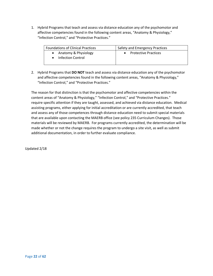1. Hybrid Programs that teach and assess via distance education any of the psychomotor and affective competencies found in the following content areas, "Anatomy & Physiology," "Infection Control," and "Protective Practices."

| <b>Foundations of Clinical Practices</b>  | Safety and Emergency Practices |  |
|-------------------------------------------|--------------------------------|--|
| Anatomy & Physiology<br>Infection Control | <b>Protective Practices</b>    |  |

2. Hybrid Programs that **DO NOT** teach and assess via distance education any of the psychomotor and affective competencies found in the following content areas, "Anatomy & Physiology," "Infection Control," and "Protective Practices."

The reason for that distinction is that the psychomotor and affective competencies within the content areas of "Anatomy & Physiology," "Infection Control," and "Protective Practices." require specific attention if they are taught, assessed, and achieved via distance education. Medical assisting programs, either applying for initial accreditation or are currently accredited, that teach and assess any of those competences through distance education need to submit special materials that are available upon contacting the MAERB office (see policy 235 Curriculum Changes). Those materials will be reviewed by MAERB. For programs currently accredited, the determination will be made whether or not the change requires the program to undergo a site visit, as well as submit additional documentation, in order to further evaluate compliance.

Updated 2/18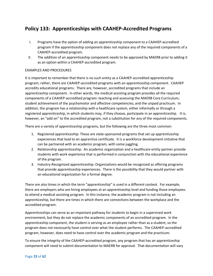### <span id="page-22-0"></span>**Policy 133: Apprenticeships with CAAHEP-Accredited Programs**

- I. Programs have the option of adding an apprenticeship component to a CAAHEP-accredited program if the apprenticeship component does not replace any of the required components of a CAAHEP-accredited program.
- II. The addition of an apprenticeship component needs to be approved by MAERB prior to adding it as an option within a CAAHEP-accredited program.

### EXAMPLES AND PROCEDURES

It is important to remember that there is no such entity as a CAAHEP-accredited apprenticeship program; rather, there are CAAHEP-accredited programs with an apprenticeship component. CAAHEP accredits educational programs. There are, however, accredited programs that include an apprenticeship component. In other words, the medical assisting program provides all the required components of a CAAHEP-accredited program: teaching and assessing the MAERB Core Curriculum; student achievement of the psychomotor and affective competencies; and the unpaid practicum. In addition, the program has a relationship with a healthcare system, either informally or through a registered apprenticeship, in which students may, if they choose, participate in an apprenticeship. It is, however, an "add on" to the accredited program, not a substitution for any of the required components.

There are a variety of apprenticeship programs, but the following are the three most common:

- 1. Registered apprenticeship: These are state-sponsored programs that set up apprenticeship experiences that lead to an apprentice certificate. It is a workforce development initiative that can be partnered with an academic program, with some juggling.
- 2. Relationship apprenticeship: An academic organization and a healthcare entity partner provide students with work experience that is performed in conjunction with the educational experience of the program.
- 3. Industry-Recognized apprenticeship: Organizations would be recognized as offering programs that provide apprenticeship experiences. There is the possibility that they would partner with an educational organization for a formal degree.

There are also times in which the term "apprenticeship" is used in a different context. For example, there are employers who are hiring employees at an apprenticeship level and funding those employees to attend a medical assisting program. In this instance, the academic program is not including an apprenticeship, but there are times in which there are connections between the workplace and the accredited program.

Apprenticeships can serve as an important pathway for students to begin in a supervised work environment, but they do not replace the academic components of an accredited program. In the apprenticeship component, the student is serving as an employee rather than as a student, so the program does not necessarily have control over what the student performs. The CAAHEP-accredited program, however, does need to have control over the academic program and the practicum.

To ensure the integrity of the CAAHEP-accredited program, any program that has an apprenticeship component will need to submit documentation to MAERB for approval. That documentation will vary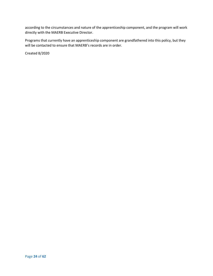according to the circumstances and nature of the apprenticeship component, and the program will work directly with the MAERB Executive Director.

Programs that currently have an apprenticeship component are grandfathered into this policy, but they will be contacted to ensure that MAERB's records are in order.

Created 8/2020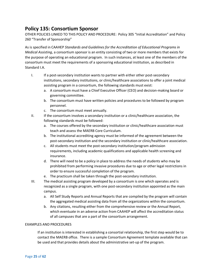### <span id="page-24-0"></span>**Policy 135: Consortium Sponsor**

OTHER POLICIES LINKED TO THIS POLICY AND PROCEDURE: Policy 305 "Initial Accreditation" and Policy 260 "Transfer of Sponsorship"

As is specified in CAAHEP *Standards and Guidelines for the Accreditation of Educational Programs in Medical Assisting*, a consortium sponsor is an entity consisting of two or more members that exists for the purpose of operating an educational program. In such instances, at least one of the members of the consortium must meet the requirements of a sponsoring educational institution, as described in Standard I.A.

- I. If a post-secondary institution wants to partner with either other post-secondary institutions, secondary institutions, or clinic/healthcare associations to offer a joint medical assisting program in a consortium, the following standards must exist:
	- a. A consortium must have a Chief Executive Officer (CEO) and decision-making board or governing committee.
	- b. The consortium must have written policies and procedures to be followed by program personnel.
	- c. The consortium must meet annually.
- II. If the consortium involves a secondary institution or a clinic/healthcare association, the following standards must be followed:
	- a. The courses offered by the secondary institution or clinic/healthcare association must teach and assess the MAERB Core Curriculum.
	- b. The institutional accrediting agency must be informed of the agreement between the post-secondary institution and the secondary institution or clinic/healthcare association.
	- c. All students must meet the post-secondary institution/program admission requirements, including academic qualifications and applicable health screening and insurance.
	- d. There will need to be a policy in place to address the needs of students who may be prohibited from performing invasive procedures due to age or other legal restrictions in order to ensure successful completion of the program.
	- e. The practicum shall be taken through the post-secondary institution.
- III. The medical assisting program developed by a consortium is one which operates and is recognized as a single program, with one post-secondary institution appointed as the main campus.
	- a. All Self Study Reports and Annual Reports that are compiled by the program will contain the aggregated medical assisting data from all the organizations within the consortium.
	- b. Any citations, resulting either from the comprehensive review or the Annual Report, which eventuate in an adverse action from CAAHEP will affect the accreditation status of all campuses that are a part of the consortium arrangement.

#### EXAMPLES AND PROCEDURES

If an institution is interested in establishing a consortial relationship, the first step would be to contact the MAERB office. There is a sample Consortium Agreement template available that can be used and that provides details about the administrative set-up of the program.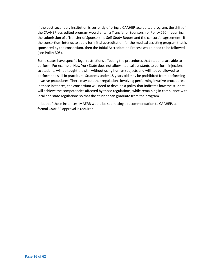If the post-secondary institution is currently offering a CAAHEP-accredited program, the shift of the CAAHEP-accredited program would entail a Transfer of Sponsorship (Policy 260), requiring the submission of a Transfer of Sponsorship Self-Study Report and the consortial agreement. If the consortium intends to apply for initial accreditation for the medical assisting program that is sponsored by the consortium, then the Initial Accreditation Process would need to be followed (see Policy 305).

Some states have specific legal restrictions affecting the procedures that students are able to perform. For example, New York State does not allow medical assistants to perform injections, so students will be taught the skill without using human subjects and will not be allowed to perform the skill in practicum. Students under 18 years old may be prohibited from performing invasive procedures. There may be other regulations involving performing invasive procedures. In those instances, the consortium will need to develop a policy that indicates how the student will achieve the competencies affected by those regulations, while remaining in compliance with local and state regulations so that the student can graduate from the program.

In both of these instances, MAERB would be submitting a recommendation to CAAHEP, as formal CAAHEP approval is required.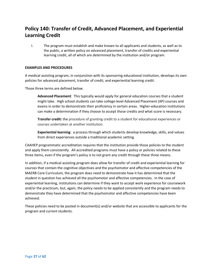### <span id="page-26-0"></span>**Policy 140: Transfer of Credit, Advanced Placement, and Experiential Learning Credit**

I. The program must establish and make known to all applicants and students, as well as to the public, a written policy on advanced placement, transfer of credits and experiential learning credit, all of which are determined by the institution and/or program.

#### **EXAMPLES AND PROCEDURES**

A medical assisting program, in conjunction with its sponsoring educational institution, develops its own policies for advanced placement, transfer of credit, and experiential learning credit.

Those three terms are defined below.

**Advanced Placement**: This typically would apply for general education courses that a student might take. High school students can take college-level Advanced Placement (AP) courses and exams in order to demonstrate their proficiency in certain areas. Higher-education institutions can make a determination if they choose to accept those credits and what score is necessary.

**Transfer credit:** the procedure of granting credit to a student for educational experiences or courses undertaken at another institution.

**Experiential learning**: a process through which students develop knowledge, skills, and values from direct experiences outside a traditional academic setting.

CAAHEP programmatic accreditation requires that the institution provide those policies to the student and apply them consistently. All accredited programs must have a policy or policies related to these three items, even if the program's policy is to not grant any credit through these three means.

In addition, if a medical assisting program does allow for transfer of credit and experiential learning for courses that contain the cognitive objectives and the psychomotor and affective competencies of the MAERB Core Curriculum, the program does need to demonstrate how it has determined that the student in question has achieved all the psychomotor and affective competencies. In the case of experiential learning, institutions can determine if they want to accept work experience for coursework and/or the practicum, but, again, the policy needs to be applied consistently and the program needs to demonstrate they have determined that the psychomotor and affective competencies have been achieved.

These policies need to be posted in document(s) and/or website that are accessible to applicants for the program and current students.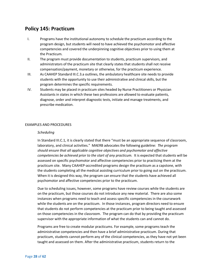### <span id="page-27-0"></span>**Policy 145: Practicum**

- I. Programs have the institutional autonomy to schedule the practicum according to the program design, but students will need to have achieved the psychomotor and affective competencies and covered the underpinning cognitive objectives prior to using them at the Practicum.
- II. The program must provide documentation to students, practicum supervisors, and administrators of the practicum site that clearly states that students shall not receive compensation/payment, monetary or otherwise, for the practicum experience.
- III. As CAAHEP Standard III.C.3.a outlines, the ambulatory healthcare site needs to provide students with the opportunity to use their administrative and clinical skills, but the program determines the specific requirements.
- IV. Students may be placed in practicum sites headed by Nurse Practitioners or Physician Assistants in states in which these two professions are allowed to evaluate patients, diagnose, order and interpret diagnostic tests, initiate and manage treatments, and prescribe medication.

#### EXAMPLES AND PROCEDURES

#### *Scheduling*

In Standard III.C.1, it is clearly stated that there "must be an appropriate sequence of classroom, laboratory, and clinical activities." MAERB advocates the following guideline: *The program should ensure that all applicable cognitive objectives and psychomotor and affective competencies be achieved prior to the start of any practicum.* It is expected that students will be assessed on specific psychomotor and affective competencies prior to practicing them at the practicum site. Many CAAHEP-accredited programs design the practicum as a capstone, with the students completing all the medical assisting curriculum prior to going out on the practicum. When it is designed this way, the program can ensure that the students have achieved all psychomotor and affective competencies prior to the practicum.

Due to scheduling issues, however, some programs have review courses while the students are on the practicum, but those courses do not introduce any new material. There are also some instances when programs need to teach and assess specific competencies in the coursework while the students are on the practicum. In those instances, program directors need to ensure that students do not perform competencies at the practicum prior to being taught and assessed on those competencies in the classroom. The program can do that by providing the practicum supervisor with the appropriate information of what the students can and cannot do.

Programs are free to create modular practicums. For example, some programs teach the administrative competencies and then have a brief administrative practicum. During that practicum, students cannot perform any of the clinical competencies, as they have not yet been taught and assessed on them. After the administrative practicum, students return to the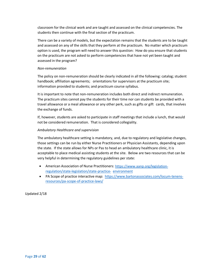classroom for the clinical work and are taught and assessed on the clinical competencies. The students then continue with the final section of the practicum.

There can be a variety of models, but the expectation remains that the students are to be taught and assessed on any of the skills that they perform at the practicum. No matter which practicum option is used, the program will need to answer this question: How do you ensure that students on the practicum are not asked to perform competencies that have not yet been taught and assessed in the program?

#### *Non-remuneration*

The policy on non-remuneration should be clearly indicated in all the following: catalog; student handbook; affiliation agreements; orientations for supervisors at the practicum site; information provided to students; and practicum course syllabus.

It is important to note that non-remuneration includes both direct and indirect remuneration. The practicum sites cannot pay the students for their time nor can students be provided with a travel allowance or a meal allowance or any other perk, such as gifts or gift cards, that involves the exchange of funds.

If, however, students are asked to participate in staff meetings that include a lunch, that would not be considered remuneration. That is considered collegiality.

#### *Ambulatory Healthcare and supervision*

The ambulatory healthcare setting is mandatory, and, due to regulatory and legislative changes, those settings can be run by either Nurse Practitioners or Physician Assistants, depending upon the state. If the state allows for NPs or Pas to head an ambulatory healthcare clinic, it is acceptable to place medical assisting students at the site. Below are two resources that can be very helpful in determining the regulatory guidelines per state:

- American Association of Nurse Practitioners: [https://www.aanp.org/legislation](https://www.aanp.org/legislation-regulation/state-legislation/state-practice-environment)[regulation/state-legislation/state-practice- environment](https://www.aanp.org/legislation-regulation/state-legislation/state-practice-environment)
- PA Scope of practice interactive map: [https://www.bartonassociates.com/locum-tenens](https://www.bartonassociates.com/locum-tenens-resources/pa-scope-of-practice-laws/)[resources/pa-scope-of-practice-laws/](https://www.bartonassociates.com/locum-tenens-resources/pa-scope-of-practice-laws/)

Updated 2/18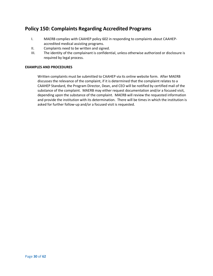### <span id="page-29-0"></span>**Policy 150: Complaints Regarding Accredited Programs**

- I. MAERB complies with CAAHEP policy 602 in responding to complaints about CAAHEPaccredited medical assisting programs.
- II. Complaints need to be written and signed.
- III. The identity of the complainant is confidential, unless otherwise authorized or disclosure is required by legal process.

#### **EXAMPLES AND PROCEDURES**

Written complaints must be submitted to CAAHEP via its online website form. After MAERB discusses the relevance of the complaint, if it is determined that the complaint relates to a CAAHEP Standard, the Program Director, Dean, and CEO will be notified by certified mail of the substance of the complaint. MAERB may either request documentation and/or a focused visit, depending upon the substance of the complaint. MAERB will review the requested information and provide the institution with its determination. There will be times in which the institution is asked for further follow-up and/or a focused visit is requested.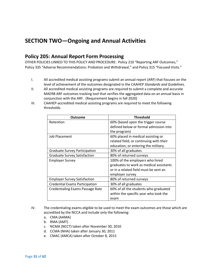### <span id="page-30-0"></span>**SECTION TWO—Ongoing and Annual Activities**

### <span id="page-30-1"></span>**Policy 205: Annual Report Form Processing**

OTHER POLICIES LINKED TO THIS POLICY AND PROCEDURE: Policy 210 "Reporting ARF Outcomes," Policy 335 "Adverse Recommendations: Probation and Withdrawal," and Policy 315 "Focused Visits."

- I. All accredited medical assisting programs submit an annual report (ARF) that focuses on the level of achievement of the outcomes designated in the CAAHEP *Standards and Guidelines*.
- II. All accredited medical assisting programs are required to submit a complete and accurate MAERB ARF outcomes tracking tool that verifies the aggregated data on an annual basis in conjunction with the ARF. (Requirement begins in fall 2020)
- III. CAAHEP-accredited medical assisting programs are required to meet the following thresholds.

| Outcome                                 | <b>Threshold</b>                        |
|-----------------------------------------|-----------------------------------------|
| Retention                               | 60% (based upon the trigger course      |
|                                         | defined below or formal admission into  |
|                                         | the program)                            |
| Job Placement                           | 60% placed in medical assisting or      |
|                                         | related field, or continuing with their |
|                                         | education, or entering the military.    |
| <b>Graduate Survey Participation</b>    | 30% of all graduates                    |
| <b>Graduate Survey Satisfaction</b>     | 80% of returned surveys                 |
| <b>Employer Survey</b>                  | 100% of the employers who hired         |
|                                         | graduates to work as medical assistants |
|                                         | or in a related field must be sent an   |
|                                         | employer survey                         |
| <b>Employer Survey Satisfaction</b>     | 80% of returned surveys                 |
| <b>Credential Exams Participation</b>   | 30% of all graduates                    |
| <b>Credentialing Exams Passage Rate</b> | 60% of all the students who graduated   |
|                                         | within the specific year who took the   |
|                                         | exam                                    |

- IV. The credentialing exams eligible to be used to meet the exam outcomes are those which are accredited by the NCCA and include only the following:
	- a. CMA (AAMA)
	- b. RMA (AMT)
	- c. NCMA (NCCT) taken after November 30, 2010
	- d. CCMA (NHA) taken after January 30, 2011
	- e. CMAC (AMCA) taken after October 8, 2015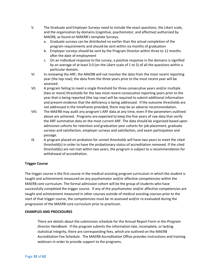- V. The Graduate and Employer Surveys need to include the exact questions, the Likert scale, and the organization by domains (cognitive, psychomotor, and affective) authorized by MAERB, as found on MAERB's template Surveys.
	- a. Graduate surveys can be distributed no earlier than the actual completion of the program requirements and should be sent within six months of graduation
	- b. Employer surveys should be sent by the Program Director within three to 12 months after the date of employment
	- c. On an individual response to the survey, a positive response in the domains is signified by an average of at least 3.0 (on the Likert scale of 1 to 5) of all the questions within a particular domain.
- VI. In reviewing the ARF, the MAERB will not monitor the data from the most recent reporting year (the top row); the data from the three years prior to the most recent year will be assessed.
- VII. A program failing to meet a single threshold for three consecutive years and/or multiple (two or more) thresholds for the two most recent consecutive reporting years prior to the year that is being reported (the top row) will be required to submit additional information and present evidence that the deficiency is being addressed. If the outcome thresholds are not addressed in the timeframe provided, there may be an adverse recommendation.
- VIII. The MAERB may audit any program's ARF data at any time, even if the parameters outlined above are achieved. Programs are expected to keep the five years of raw data that verify the ARF summative data on the most current ARF. The data should be organized based upon admission cohorts for retention and graduation year cohorts for job placement, graduate surveys and satisfaction, employer surveys and satisfaction, and exam participation and passage.
- IX. A program placed on probation for unmet thresholds will have two years to meet the cited threshold(s) in order to have the probationary status of accreditation removed. If the cited threshold(s) are not met within two years, the program is subject to a recommendation for withdrawal of accreditation.

### **Trigger Course**

The trigger course is the first course in the medical assisting program curriculum in which the student is taught and achievement measured on any psychomotor and/or affective competencies within the MAERB core curriculum. The formal admission cohort will be the group of students who have successfully completed the trigger course. If any of the psychomotor and/or affective competencies are taught and achievement measured in other courses outside of medical assisting courses prior to the start of that trigger course, the competencies must be re-assessed and/or re-evaluated during the progression of the MAERB core curriculum prior to practicum.

#### **EXAMPLES AND PROCEDURES**

There are details about the submission schedule for the Annual Report Form in the *Program Director Handbook*. If the program submits the information late, incomplete, or lacking statistical integrity, there are corresponding fees, which are outlined on the MAERB Accreditation Fee Schedule. The MAERB Accreditation Office provides instructions and training webinars in order to provide support to the programs.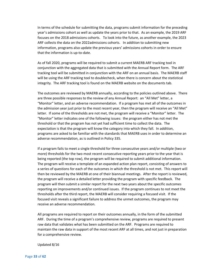In terms of the schedule for submitting the data, programs submit information for the preceding year's admissions cohort as well as update the years prior to that. As an example, the 2019 ARF focuses on the 2018 admissions cohorts. To look into the future, as another example, the 2023 ARF collects the data on the 2022admissions cohorts. In addition to submitting new information, programs also update the previous years' admissions cohorts in order to ensure that the information is up-to-date.

As of fall 2020, programs will be required to submit a current MAERB ARF tracking tool in conjunction with the aggregated data that is submitted with the Annual Report form. The ARF tracking tool will be submitted in conjunction with the ARF on an annual basis. The MAERB staff will be using the ARF tracking tool to doublecheck, when there is concern about the statistical integrity. The ARF tracking tool is found on the MAERB website on the documents tab.

The outcomes are reviewed by MAERB annually, according to the policies outlined above. There are three possible responses to the review of any Annual Report: an "All Met" letter, a "Monitor" letter, and an adverse recommendation. If a program has met all of the outcomes in the admission year just prior to the most recent year, then the program will receive an "All Met" letter. If some of the thresholds are not met, the program will receive a "Monitor" letter. The "Monitor" letter indicates one of the following issues: the program either has not met the threshold or that the program has not yet had sufficient time to collect the data. The expectation is that the program will know the category into which they fall. In addition, programs are asked to be familiar with the standards that MAERB uses in order to determine an adverse recommendation, as is outlined in Policy 335.

If a program fails to meet a single threshold for three consecutive years and/or multiple (two or more) thresholds for the two most recent consecutive reporting years prior to the year that is being reported (the top row), the program will be required to submit additional information. The program will receive a template of an expanded action plan report, consisting of answers to a series of questions for each of the outcomes in which the threshold is not met. This report will then be reviewed by the MAERB at one of their biannual meetings. After the report is reviewed, the program will receive a detailed letter providing the program with specific feedback. The program will then submit a similar report for the next two years about the specific outcomes reporting on improvements and/or continued issues. If the program continues to not meet the thresholds after the third report, the MAERB will consider requiring a focused visit. If the focused visit reveals a significant failure to address the unmet outcomes, the program may receive an adverse recommendation.

All programs are required to report on their outcomes annually, in the form of the submitted ARF. During the time of a program's comprehensive review, programs are required to present raw data that validates what has been submitted on the ARF. Programs are required to maintain the raw data in support of the most recent ARF at all times, and not just in preparation for a comprehensive review.

Updated 8/16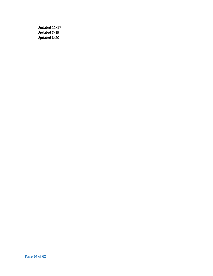Updated 11/17 Updated 8/19 Updated 8/20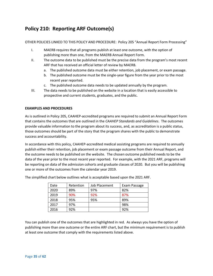### <span id="page-34-0"></span>**Policy 210: Reporting ARF Outcome(s)**

OTHER POLICIES LINKED TO THIS POLICY AND PROCEDURE: Policy 205 "Annual Report Form Processing"

- I. MAERB requires that all programs publish at least one outcome, with the option of publishing more than one, from the MAERB Annual Report Form.
- II. The outcome data to be published must be the precise data from the program's most recent ARF that has received an official letter of review by MAERB.
	- a. The published outcome data must be either retention, job placement, or exam passage.
	- b. The published outcome must be the single-year figure from the year prior to the most recent year reported.
	- c. The published outcome data needs to be updated annually by the program.
- III. The data needs to be published on the website in a location that is easily accessible to prospective and current students, graduates, and the public.

### **EXAMPLES AND PROCEDURES**

As is outlined in Policy 205, CAAHEP-accredited programs are required to submit an Annual Report Form that contains the outcomes that are outlined in the *CAAHEP Standards and Guidelines*. The outcomes provide valuable information to the program about its success, and, as accreditation is a public status, those outcomes should be part of the story that the program shares with the public to demonstrate success and accountability.

In accordance with this policy, CAAHEP-accredited medical assisting programs are required to annually publish either their retention, job placement or exam passage outcome from their Annual Report, and the outcome needs to be published on the website. The chosen outcome published needs to be the data of the year prior to the most recent year reported. For example, with the 2021 ARF, programs will be reporting on data of the admission cohorts and graduate classes of 2020. But you will be publishing one or more of the outcomes from the calendar year 2019.

| Date | Retention | Job Placement | Exam Passage |
|------|-----------|---------------|--------------|
| 2020 | 89%       | 97%           | 82%          |
| 2019 | 90%       | 92%           | 87%          |
| 2018 | 95%       | 95%           | 89%          |
| 2017 | 97%       |               | 98%          |
| 2016 | 92%       |               | 92%          |

The simplified chart below outlines what is acceptable based upon the 2021 ARF.

You can publish one of the outcomes that are highlighted in red. As always you have the option of publishing more than one outcome or the entire ARF chart, but the minimum requirement is to publish at least one outcome that comply with the requirements listed above.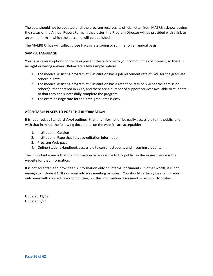The data should not be updated until the program receives its official letter from MAERB acknowledging the status of the Annual Report Form. In that letter, the Program Director will be provided with a link to an online form in which the outcome will be published.

The MAERB Office will collect those links in late spring or summer on an annual basis.

#### **SAMPLE LANGUAGE**

You have several options of how you present the outcome to your communities of interest, so there is no right or wrong answer. Below are a few sample options.

- 1. The medical assisting program at X institution has a job placement rate of 64% for the graduate cohort in YYYY.
- 2. The medical assisting program at X institution has a retention rate of 66% for the admission cohort(s) that entered in YYYY, and there are a number of support services available to students so that they can successfully complete the program.
- 3. The exam passage rate for the YYYY graduates is 88%.

### **ACCEPTABLE PLACES TO POST THIS INFORMATION**

It is required, as Standard V.A.4 outlines, that this information be easily accessible to the public, and, with that in mind, the following documents on the website are acceptable:

- 1. Institutional Catalog
- 2. Institutional Page that lists accreditation information
- 3. Program Web page
- 4. Online Student Handbook accessible to current students and incoming students

The important issue is that the information be accessible to the public, so the easiest venue is the website for that information.

It is not acceptable to provide this information only on internal documents. In other words, it is not enough to include it ONLY on your advisory meeting minutes. You should certainly be sharing your outcomes with your advisory committee, but this information does need to be publicly posted.

Updated 11/19 Updated 8/21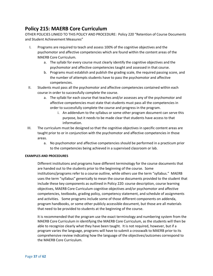### <span id="page-36-0"></span>**Policy 215: MAERB Core Curriculum**

OTHER POLICIES LINKED TO THIS POLICY AND PROCEDURE: Policy 220 "Retention of Course Documents and Student Achievement Measures"

- I. Programs are required to teach and assess 100% of the cognitive objectives and the psychomotor and affective competencies which are found within the content areas of the MAERB Core Curriculum.
	- a. The syllabi for every course must clearly identify the cognitive objectives and the psychomotor and affective competencies taught and assessed in that course.
	- b. Programs must establish and publish the grading scale, the required passing score, and the number of attempts students have to pass the psychomotor and affective competencies.
- II. Students must pass all the psychomotor and affective competencies contained within each course in order to successfully complete the course.
	- a. The syllabi for each course that teaches and/or assesses any of the psychomotor and affective competencies must state that students must pass all the competencies in order to successfully complete the course and progress in the program.
		- i. An addendum to the syllabus or some other program document can serve this purpose, but it needs to be made clear that students have access to that information.
- III. The curriculum must be designed so that the cognitive objectives in specific content areas are taught prior to or in conjunction with the psychomotor and affective competencies in those areas.
	- a. No psychomotor and affective competencies should be performed in a practicum prior to the competencies being achieved in a supervised classroom or lab.

#### **EXAMPLES AND PROCEDURES**

Different institutions and programs have different terminology for the course documents that are handed out to the students prior to the beginning of the course. Some institutions/programs refer to a course outline, while others use the term "syllabus." MAERB uses the term "syllabus" generically to mean the course documents provided to the student that include these key components as outlined in Policy 220: course description, course learning objectives, MAERB Core Curriculum cognitive objectives and/or psychomotor and affective competencies, textbooks, grading policy, competency statement, and schedule of assignments and activities. Some programs include some of those different components on addenda, program handbooks, or some other publicly accessible document, but those are all materials that need to be provided to students at the beginning of the course.

It is recommended that the program use the exact terminology and numbering system from the MAERB Core Curriculum in identifying the MAERB Core Curriculum, as the students will then be able to recognize clearly what they have been taught. It is not required, however, but if a program varies the language, programs will have to submit a crosswalk to MAERB prior to its comprehensive review indicating how the language of the objectives/outcomes correspond to the MAERB Core Curriculum.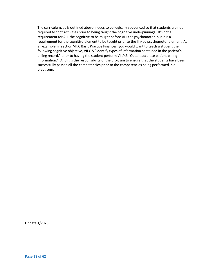The curriculum, as is outlined above, needs to be logically sequenced so that students are not required to "do" activities prior to being taught the cognitive underpinnings. It's not a requirement for ALL the cognitive to be taught before ALL the psychomotor, but it is a requirement for the cognitive element to be taught prior to the linked psychomotor element. As an example, in section VII.C Basic Practice Finances, you would want to teach a student the following cognitive objective, VII.C.5 "Identify types of information contained in the patient's billing record," prior to having the student perform VII.P.3 "Obtain accurate patient billing information." And it is the responsibility of the program to ensure that the students have been successfully passed all the competencies prior to the competencies being performed in a practicum.

Update 1/2020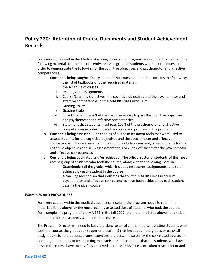### <span id="page-38-0"></span>**Policy 220: Retention of Course Documents and Student Achievement Records**

- I. For every course within the Medical Assisting Curriculum, programs are required to maintain the following materials for the most recently assessed group of students who took the course in order to demonstrate the following for the cognitive objectives and psychomotor and affective competencies.
	- a. **Content is being taught:** The syllabus and/or course outline that contains the following:
		- i. the list of textbooks or other required materials
		- ii. the schedule of classes
		- iii. readings and assignments
		- iv. Course/Learning Objectives: the cognitive objectives and the psychomotor and affective competencies of the MAERB Core Curriculum
		- v. Grading Policy
		- vi. Grading Scale
		- vii. Cut-off score or pass/fail standards necessary to pass the cognitive objectives and psychomotor and affective competencies
		- viii. Statement that students must pass 100% of the psychomotor and affective competencies in order to pass the course and progress in the program
	- b. **Content is being assessed:** Blank copies of all the assessment tools that were used to assess students for the cognitive objectives and the psychomotor and affective competencies. Those assessment tools could include exams and/or assignments for the cognitive objectives and skills assessment tools or check-off sheets for the psychomotor and affective competencies.
	- c. **Content is being evaluated and/or achieved:** The official roster of students of the most recent group of students who took the course, along with the following material:
		- i. Gradebooks (all the grades which includes test scores, assignments, and so on achieved by each student in the course)
		- ii. A tracking mechanism that indicates that all the MAERB Core Curriculum psychomotor and affective competencies have been achieved by each student passing the given course.

#### **EXAMPLES AND PROCEDURES**

For every course within the medical assisting curriculum, the program needs to retain the materials listed above for the most recently assessed class of students who took the course. For example, if a program offers MA 131 in the fall 2017, the materials listed above need to be maintained for the students who took that course.

The Program Director will need to keep the class roster of all the medical assisting students who took the course, the gradebook (paper or electronic) that includes all the grades or pass/fail designations for the quizzes, exams, exercises, projects, and so on for the completed course. In addition, there needs to be a tracking mechanism that documents that the students who have passed the course have successfully achieved all the MAERB Core Curriculum psychomotor and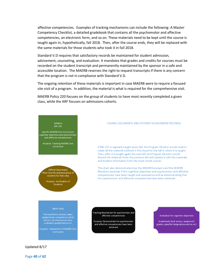affective competencies. Examples of tracking mechanisms can include the following: A Master Competency Checklist, a detailed gradebook that contains all the psychomotor and affective competencies, an electronic form, and so on. These materials need to be kept until the course is taught again in, hypothetically, fall 2018. Then, after the course ends, they will be replaced with the same materials for those students who took it in fall 2018.

Standard V.D requires that satisfactory records be maintained for student admission, advisement, counseling, and evaluation. It mandates that grades and credits for courses must be recorded on the student transcript and permanently maintained by the sponsor in a safe and accessible location. The MAERB reserves the right to request transcripts if there is any concern that the program is not in compliance with Standard V.D.

The ongoing retention of these materials is important in case MAERB were to require a focused site visit of a program. In addition, the material is what is required for the comprehensive visit.

MAERB Policy 220 focuses on the group of students to have most recently completed a given class, while the ARF focuses on admissions cohorts.

### Syllabus<br>MA 131 Specific MAERB Core Curriculum cognitive objectives and psychomotor<br>and affective competencies Purpose: Tracking MAERB Core Curriculum

Official Class Roster Most recently assessed group of students for that class

> Purpose: Verification of Students

#### **Blank Tools**

Test questions, quizzes, paper assignments, competency check<br>sheets, role playing exercises,

#### COURSE DOCUMENTS AND STUDENT ACHIEVEMENT RECORDS

If MA 131 is regularly taught every fall, the Program Director would need to retain all the material outlined in this visual for the fall in which it is taught. Then, after it is taught again the next fall, the Program Director would discard the materials from the previous fall and replace it with the materials and student information from the most recent course.

This chart also demonstrates how the MAERB Surveyors and the MAERB Members ascertain if the cognitive objectives and psychomotor and affective competencies have been taught and assessed as well as demonstrating that the psychomotor and affective competencies have been achieved.

Tracking Mechanism for psychomotor and affective competencies

Purpose: Demonstrate the psychomotor and affective competencies have been achieved

#### Evaluation for cognitive objectives

Gradebooks (test scores, assignment grades, pass/fail designations and so on)

Updated 8/17

Page **40** of **62**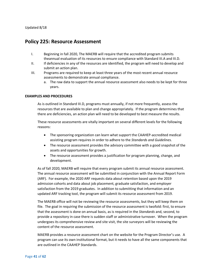### <span id="page-40-0"></span>**Policy 225: Resource Assessment**

- I. Beginning in fall 2020, The MAERB will require that the accredited program submits theannual evaluation of its resources to ensure compliance with Standard III.A and III.D.
- II. If deficiencies in any of the resources are identified, the program will need to develop and submit an action plan.
- III. Programs are required to keep at least three years of the most recent annual resource assessments to demonstrate annual compliance.
	- a. The raw data to support the annual resource assessment also needs to be kept for three years.

#### **EXAMPLES AND PROCEDURES**

As is outlined in Standard III.D, programs must annually, if not more frequently, assess the resources that are available to plan and change appropriately. If the program determines that there are deficiencies, an action plan will need to be developed to best measure the results.

These resource assessments are vitally important on several different levels for the following reasons:

- The sponsoring organization can learn what support the CAAHEP-accredited medical assisting program requires in order to adhere to the *Standards and Guidelines*.
- The resource assessment provides the advisory committee with a good snapshot of the assets and opportunities for growth.
- The resource assessment provides a justification for program planning, change, and development.

As of fall 2020, MAERB will require that every program submit its annual resource assessment. The annual resource assessment will be submitted in conjunction with the Annual Report Form (ARF). For example, the 2020 ARF requests data about retention based upon the 2019 admission cohorts and data about job placement, graduate satisfaction, and employer satisfaction from the 2019 graduates. In addition to submitting that information and an updated ARF tracking tool, the program will submit its resource assessment from 2019.

The MAERB office will not be reviewing the resource assessments, but they will keep them on file. The goal in requiring the submission of the resource assessment is twofold: first, to ensure that the assessment is done on annual basis, as is required in the *Standards* and, second, to provide a repository in case there is sudden staff or administrative turnover. When the program undergoes its comprehensive review and site visit, the site surveyors will be reviewing the content of the resource assessment.

MAERB provides a resource assessment chart on the website for the Program Director's use. A program can use its own institutional format, but it needs to have all the same components that are outlined in the CAAHEP Standards.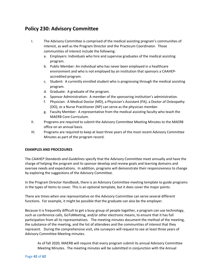### <span id="page-41-0"></span>**Policy 230: Advisory Committee**

- I. The Advisory Committee is comprised of the medical assisting program's communities of interest, as well as the Program Director and the Practicum Coordinator. Those communities of interest include the following:
	- a. Employers: Individuals who hire and supervise graduates of the medical assisting program.
	- b. Public Member: An individual who has never been employed in a healthcare environment and who is not employed by an institution that sponsors a CAAHEPaccredited program.
	- c. Student: A currently enrolled student who is progressing through the medical assisting program.
	- d. Graduate: A graduate of the program.
	- e. Sponsor Administration: A member of the sponsoring institution's administration.
	- f. Physician: A Medical Doctor (MD), a Physician's Assistant (PA), a Doctor of Osteopathy (DO), or a Nurse Practitioner (NP) can serve as the physician member.
	- g. Faculty Member: A representative from the medical assisting faculty who teach the MAERB Core Curriculum.
- II. Programs are required to submit the Advisory Committee Meeting Minutes to the MAERB office on an annual basis.
- III. Programs are required to keep at least three years of the most recent Advisory Committee Minutes as part of the program record.

### **EXAMPLES AND PROCEDURES**

The *CAAHEP Standards and Guidelines* specify that the Advisory Committee meet annually and have the charge of helping the program and its sponsor develop and review goals and learning domains and oversee needs and expectations. In addition, programs will demonstrate their responsiveness to change by exploring the suggestions of the Advisory Committee.

In the Program Director Handbook, there is an Advisory Committee meeting template to guide programs in the types of items to cover. This is an optional template, but it does cover the major points.

There are times when one representative on the Advisory Committee can serve several different functions. For example, it might be possible that the graduate can also be the employer.

Because it is frequently difficult to get a busy group of people together, a program can use technology, such as conference calls, GoToMeeting, and/or other electronic means, to ensure that it has full participation from all its representatives. The meeting minutes document the method of the meeting, the substance of the meeting, and the list of attendees and the communities of interest that they represent. During the comprehensive visit, site surveyors will request to see at least three years of Advisory Committee Meeting minutes.

As of fall 2020, MAERB will require that every program submit its annual Advisory Committee Meeting Minutes. The meeting minutes will be submitted in conjunction with the Annual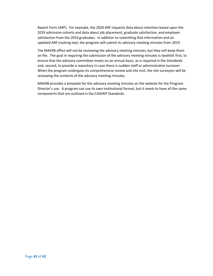Report Form (ARF). For example, the 2020 ARF requests data about retention based upon the 2019 admission cohorts and data about job placement, graduate satisfaction, and employer satisfaction from the 2019 graduates. In addition to submitting that information and an updated ARF tracking tool, the program will submit its advisory meeting minutes from 2019.

The MAERB office will not be reviewing the advisory meeting minutes, but they will keep them on file. The goal in requiring the submission of the advisory meeting minutes is twofold: first, to ensure that the advisory committee meets on an annual basis, as is required in the *Standards* and, second, to provide a repository in case there is sudden staff or administrative turnover. When the program undergoes its comprehensive review and site visit, the site surveyors will be reviewing the contents of the advisory meeting minutes.

MAERB provides a template for the advisory meeting minutes on the website for the Program Director's use. A program can use its own institutional format, but it needs to have all the same components that are outlined in the CAAHEP Standards.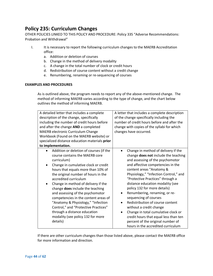### <span id="page-43-0"></span>**Policy 235: Curriculum Changes**

OTHER POLICIES LINKED TO THIS POLICY AND PROCEDURE: Policy 335 "Adverse Recommendations: Probation and Withdrawal"

- I. It is necessary to report the following curriculum changes to the MAERB Accreditation office:
	- a. Addition or deletion of courses
	- b. Change in the method of delivery modality
	- c. A change in the total number of clock or credit hours
	- d. Redistribution of course content without a credit change
	- e. Renumbering, renaming or re-sequencing of courses

#### **EXAMPLES AND PROCEDURES**

As is outlined above, the program needs to report any of the above-mentioned change. The method of informing MAERB varies according to the type of change, and the chart below outlines the method of informing MAERB.

| A detailed letter that includes a complete                                                                                                                                                                                                                                                                                                                                                                                                                                                                                                                             | A letter that includes a complete description                                                                                                                                                                                                                                                                                                                                                                                                                                                                                                                                                                                                                             |  |
|------------------------------------------------------------------------------------------------------------------------------------------------------------------------------------------------------------------------------------------------------------------------------------------------------------------------------------------------------------------------------------------------------------------------------------------------------------------------------------------------------------------------------------------------------------------------|---------------------------------------------------------------------------------------------------------------------------------------------------------------------------------------------------------------------------------------------------------------------------------------------------------------------------------------------------------------------------------------------------------------------------------------------------------------------------------------------------------------------------------------------------------------------------------------------------------------------------------------------------------------------------|--|
| description of the change, specifically                                                                                                                                                                                                                                                                                                                                                                                                                                                                                                                                | of the change specifically including the                                                                                                                                                                                                                                                                                                                                                                                                                                                                                                                                                                                                                                  |  |
| including the number of credit hours before                                                                                                                                                                                                                                                                                                                                                                                                                                                                                                                            | number of credit hours before and after the                                                                                                                                                                                                                                                                                                                                                                                                                                                                                                                                                                                                                               |  |
| and after the change AND a completed                                                                                                                                                                                                                                                                                                                                                                                                                                                                                                                                   | change with copies of the syllabi for which                                                                                                                                                                                                                                                                                                                                                                                                                                                                                                                                                                                                                               |  |
| MAERB electronic Curriculum Change                                                                                                                                                                                                                                                                                                                                                                                                                                                                                                                                     | changes have occurred.                                                                                                                                                                                                                                                                                                                                                                                                                                                                                                                                                                                                                                                    |  |
| Workbook (Found on the MAERB website) or                                                                                                                                                                                                                                                                                                                                                                                                                                                                                                                               |                                                                                                                                                                                                                                                                                                                                                                                                                                                                                                                                                                                                                                                                           |  |
| specialized distance education materials prior                                                                                                                                                                                                                                                                                                                                                                                                                                                                                                                         |                                                                                                                                                                                                                                                                                                                                                                                                                                                                                                                                                                                                                                                                           |  |
| to implementation.                                                                                                                                                                                                                                                                                                                                                                                                                                                                                                                                                     |                                                                                                                                                                                                                                                                                                                                                                                                                                                                                                                                                                                                                                                                           |  |
| Addition or deletion of courses (if the<br>course contains the MAERB core<br>curriculum)<br>Change in cumulative clock or credit<br>٠<br>hours that equals more than 10% of<br>the original number of hours in the<br>accredited curriculum<br>Change in method of delivery if the<br>٠<br>change does include the teaching<br>and assessing of the psychomotor<br>competencies in the content areas of<br>"Anatomy & Physiology," "Infection<br>Control," and "Protective Practices"<br>through a distance education<br>modality (see policy 132 for more<br>details) | Change in method of delivery if the<br>$\bullet$<br>change does not include the teaching<br>and assessing of the psychomotor<br>and affective competencies in the<br>content areas "Anatomy &<br>Physiology," "Infection Control," and<br>"Protective Practices" through a<br>distance education modality (see<br>policy 132 for more details)<br>Renumbering, renaming, or re-<br>$\bullet$<br>sequencing of courses<br>Redistribution of course content<br>$\bullet$<br>without a credit change<br>Change in total cumulative clock or<br>$\bullet$<br>credit hours that equal less than ten<br>percent of the original number of<br>hours in the accredited curriculum |  |

If there are other curriculum changes than those listed above, please contact the MAERB office for more information and direction.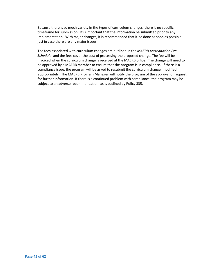Because there is so much variety in the types of curriculum changes, there is no specific timeframe for submission. It is important that the information be submitted prior to any implementation. With major changes, it is recommended that it be done as soon as possible just in case there are any major issues.

The fees associated with curriculum changes are outlined in the *MAERB Accreditation Fee Schedule*, and the fees cover the cost of processing the proposed change. The fee will be invoiced when the curriculum change is received at the MAERB office. The change will need to be approved by a MAERB member to ensure that the program is in compliance. If there is a compliance issue, the program will be asked to resubmit the curriculum change, modified appropriately. The MAERB Program Manager will notify the program of the approval or request for further information. If there is a continued problem with compliance, the program may be subject to an adverse recommendation, as is outlined by Policy 335.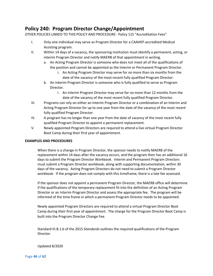### <span id="page-45-0"></span>**Policy 240: Program Director Change/Appointment**

OTHER POLICIES LINKED TO THIS POLICY AND PROCEDURE: Policy 115 "Accreditation Fees"

- I. Only one individual may serve as Program Director for a CAAHEP-accredited Medical Assisting program.
- II. Within 14 days of a vacancy, the sponsoring institution must identify a permanent, acting, or interim Program Director and notify MAERB of that appointment in writing.
	- a. An Acting Program Director is someone who does not meet all of the qualifications of the position and cannot be appointed as the Interim or Permanent Program Director.
		- i. An Acting Program Director may serve for no more than six months from the date of the vacancy of the most-recent fully qualified Program Director.
	- b. An interim Program Director is someone who is fully qualified to serve as Program Director.
		- i. An interim Program Director may serve for no more than 12 months from the date of the vacancy of the most recent fully qualified Program Director.
- III. Programs can rely on either an Interim Program Director or a combination of an Interim and Acting Program Director for up to one year from the date of the vacancy of the most recent fully qualified Program Director.
- IV. A program has no longer than one year from the date of vacancy of the most recent fully qualified Program Director to appoint a permanent replacement.
- V. Newly appointed Program Directors are required to attend a live virtual Program Director Boot Camp during their first year of appointment.

#### **EXAMPLES AND PROCEDURES**

When there is a change in Program Director, the sponsor needs to notify MAERB of the replacement within 14 days after the vacancy occurs, and the program then has an additional 16 days to submit the Program Director Workbook. Interim and Permanent Program Directors must submit a Program Director workbook, along with supporting documentation, within 30 days of the vacancy. Acting Program Directors do not need to submit a Program Director workbook. If the program does not comply with this timeframe, there is a late fee assessed.

If the sponsor does not appoint a permanent Program Director, the MAERB office will determine if the qualifications of the temporary replacement fit into the definition of an Acting Program Director or an Interim Program Director and assess the appropriate fee. The program will be informed of the time frame in which a permanent Program Director needs to be appointed.

Newly appointed Program Directors are required to attend a virtual Program Director Boot Camp during their first year of appointment. The charge for the Program Director Boot Camp is built into the Program Director Change Fee.

Standard III.B.1.b of the 2015 *Standards* outlines the required qualifications of the Program Director.

Updated 8/2020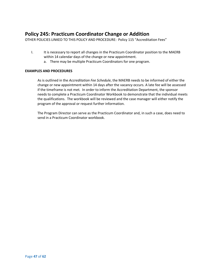### <span id="page-46-0"></span>**Policy 245: Practicum Coordinator Change or Addition**

OTHER POLICIES LINKED TO THIS POLICY AND PROCEDURE: Policy 115 "Accreditation Fees"

- I. It is necessary to report all changes in the Practicum Coordinator position to the MAERB within 14 calendar days of the change or new appointment.
	- a. There may be multiple Practicum Coordinators for one program.

#### **EXAMPLES AND PROCEDURES**

As is outlined in the *Accreditation Fee Schedule*, the MAERB needs to be informed of either the change or new appointment within 14 days after the vacancy occurs. A late fee will be assessed if the timeframe is not met*.* In order to inform the Accreditation Department, the sponsor needs to complete a Practicum Coordinator Workbook to demonstrate that the individual meets the qualifications. The workbook will be reviewed and the case manager will either notify the program of the approval or request further information.

The Program Director can serve as the Practicum Coordinator and, in such a case, does need to send in a Practicum Coordinator workbook.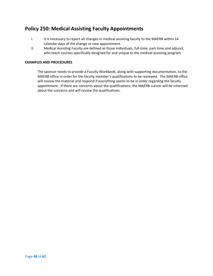### <span id="page-47-0"></span>**Policy 250: Medical Assisting Faculty Appointments**

- I. It is necessary to report all changes in medical assisting faculty to the MAERB within 14 calendar days of the change or new appointment.
- II. Medical Assisting Faculty are defined as those individuals, full-time. part-time and adjunct, who teach courses specifically designed for and unique to the medical assisting program.

### **EXAMPLES AND PROCEDURES**

The sponsor needs to provide a Faculty Workbook, along with supporting documentation, to the MAERB office in order for the faculty member's qualifications to be reviewed. The MAERB office will review the material and respond if everything seems to be in order regarding the faculty appointment. If there are concerns about the qualifications, the MAERB Liaison will be informed about the concerns and will review the qualifications.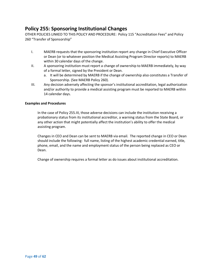### <span id="page-48-0"></span>**Policy 255: Sponsoring Institutional Changes**

OTHER POLICIES LINKED TO THIS POLICY AND PROCEDURE: Policy 115 "Accreditation Fees" and Policy 260 "Transfer of Sponsorship"

- I. MAERB requests that the sponsoring institution report any change in Chief Executive Officer or Dean (or to whatever position the Medical Assisting Program Director reports) to MAERB within 30 calendar days of the change.
- II. A sponsoring institution must report a change of ownership to MAERB immediately, by way of a formal letter, signed by the President or Dean.
	- a. It will be determined by MAERB if the change of ownership also constitutes a Transfer of Sponsorship. (See MAERB Policy 260).
- III. Any decision adversely affecting the sponsor's institutional accreditation, legal authorization and/or authority to provide a medical assisting program must be reported to MAERB within 14 calendar days.

#### **Examples and Procedures**

In the case of Policy 255.III, those adverse decisions can include the institution receiving a probationary status from its institutional accreditor, a warning status from the State Board, or any other action that might potentially affect the institution's ability to offer the medical assisting program.

Changes in CEO and Dean can be sent to MAERB via email. The reported change in CEO or Dean should include the following: full name, listing of the highest academic credential earned, title, phone, email, and the name and employment status of the person being replaced as CEO or Dean.

Change of ownership requires a formal letter as do issues about institutional accreditation.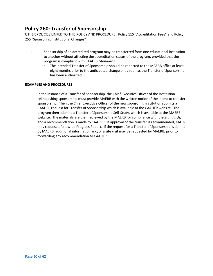### <span id="page-49-0"></span>**Policy 260: Transfer of Sponsorship**

OTHER POLICIES LINKED TO THIS POLICY AND PROCEDURE: Policy 115 "Accreditation Fees" and Policy 255 "Sponsoring Institutional Changes"

- I. Sponsorship of an accredited program may be transferred from one educational institution to another without affecting the accreditation status of the program, provided that the program is compliant with CAAHEP *Standards*.
	- a. The intended Transfer of Sponsorship should be reported to the MAERB office at least eight months prior to the anticipated change or as soon as the Transfer of Sponsorship has been authorized.

### **EXAMPLES AND PROCEDURES**

In the instance of a Transfer of Sponsorship, the Chief Executive Officer of the institution relinquishing sponsorship must provide MAERB with the written notice of the intent to transfer sponsorship. Then the Chief Executive Officer of the new sponsoring institution submits a CAAHEP request for Transfer of Sponsorship which is available at the CAAHEP website. The program then submits a Transfer of Sponsorship Self-Study, which is available at the MAERB website. The materials are then reviewed by the MAERB for compliance with the *Standards,*  and a recommendation is made to CAAHEP. If approval of the transfer is recommended, MAERB may request a follow-up Progress Report. If the request for a Transfer of Sponsorship is denied by MAERB, additional information and/or a site visit may be requested by MAERB, prior to forwarding any recommendation to CAAHEP.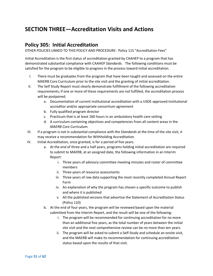### <span id="page-50-0"></span>**SECTION THREE—Accreditation Visits and Actions**

### <span id="page-50-1"></span>**Policy 305: Initial Accreditation**

OTHER POLICIES LINKED TO THIS POLICY AND PROCEDURE: Policy 115 "Accreditation Fees"

Initial Accreditation is the first status of accreditation granted by CAAHEP to a program that has demonstrated substantial compliance with CAAHEP *Standards*. The following conditions must be satisfied for the program to be eligible to progress in the process toward initial accreditation.

- I. There must be graduates from the program that have been taught and assessed on the entire MAERB Core Curriculum prior to the site visit and the granting of initial accreditation.
- II. The Self Study Report must clearly demonstrate fulfillment of the following accreditation requirements; if one or more of these requirements are not fulfilled, the accreditation process will be postponed.
	- a. Documentation of current institutional accreditation with a USDE-approved institutional accreditor and/or appropriate consortium agreement
	- b. Fully qualified program director
	- c. Practicum that is at least 160 hours in an ambulatory health care setting
	- d. A curriculum containing objectives and competencies from all content areas in the *MAERB Core Curriculum.*
- III. If a program is not in substantial compliance with the *Standards* at the time of the site visit, it may receive a recommendation for Withholding Accreditation.
- IV. Initial Accreditation, once granted, is for a period of five years.
	- a. At the end of three and a half years, programs holding initial accreditation are required to submit to MAERB, at an assigned date, the following information in an Interim Report:
		- i. Three years of advisory committee meeting minutes and roster of committee members
		- ii. Three years of resource assessments
		- iii. Three years of raw data supporting the most recently completed Annual Report Form
		- iv. An explanation of why the program has chosen a specific outcome to publish and where it is published
		- v. All the published versions that advertise the Statement of Accreditation Status (Policy 110)
	- b. At the end of four years, the program will be reviewed based upon the material submitted from the Interim Report, and the result will be one of the following:
		- i. The program will be recommended for continuing accreditation for no more than an additional five years, as the total number of years between the initial site visit and the next comprehensive review can be no more than ten years.
		- ii. The program will be asked to submit a Self-Study and schedule an onsite visit, and the MAERB will make its recommendation for continuing accreditation status based upon the results of that visit.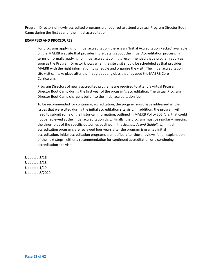Program Directors of newly accredited programs are required to attend a virtual Program Director Boot Camp during the first year of the initial accreditation.

#### **EXAMPLES AND PROCEDURES**

For programs applying for initial accreditation, there is an "Initial Accreditation Packet" available on the MAERB website that provides more details about the Initial Accreditation process. In terms of formally applying for initial accreditation, it is recommended that a program apply as soon as the Program Director knows when the site visit should be scheduled as that provides MAERB with the right information to schedule and organize the visit. The initial accreditation site visit can take place after the first graduating class that has used the MAERB Core Curriculum.

Program Directors of newly accredited programs are required to attend a virtual Program Director Boot Camp during the first year of the program's accreditation. The virtual Program Director Boot Camp charge is built into the initial accreditation fee.

To be recommended for continuing accreditation, the program must have addressed all the issues that were cited during the initial accreditation site visit. In addition, the program will need to submit some of the historical information, outlined in MAERB Policy 305 IV.a, that could not be reviewed at the initial accreditation visit. Finally, the program must be regularly meeting the thresholds of the specific outcomes outlined in the *Standards and Guidelines.* Initial accreditation programs are reviewed four years after the program is granted initial accreditation. Initial accreditation programs are notified after those reviews for an explanation of the next steps: either a recommendation for continued accreditation or a continuing accreditation site visit.

Updated 8/16 Updated 2/18 Updated 1/19 Updated 8/2020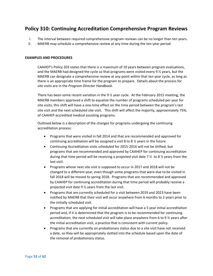### <span id="page-52-0"></span>**Policy 310: Continuing Accreditation Comprehensive Program Reviews**

- I. The interval between required comprehensive program reviews can be no longer than ten years.
- II. MAERB may schedule a comprehensive review at any time during the ten-year period.

#### **EXAMPLES AND PROCEDURES**

CAAHEP's Policy 203 states that there is a maximum of 10 years between program evaluations, and the MAERB had designed the cycle so that programs were visited every 9 ½ years, but the MAERB can designate a comprehensive review at any point within that ten year cycle, as long as there is an appropriate time frame for the program to prepare. Details about the process for site visits are in the *Program Director Handbook*.

There has been some recent variation in the 9 ½ year cycle. At the February 2015 meeting, the MAERB members approved a shift to equalize the number of programs scheduled per year for site visits; this shift will have a one-time effect on the time period between the program's last site visit and the next scheduled site visit. This shift will affect the majority, approximately 75%, of CAAHEP-accredited medical assisting programs.

Outlined below is a description of the changes for programs undergoing the continuing accreditation process:

- Programs that were visited in fall 2014 and that are recommended and approved for continuing accreditation will be assigned a visit 8 to 8 ½ years in the future
- Continuing Accreditation visits scheduled for 2015-2016 will not be shifted, but programs that are recommended and approved by CAAHEP for continuing accreditation during that time period will be receiving a projected visit date 7  $\frac{1}{2}$  to 8  $\frac{1}{2}$  years from the last visit.
- Programs whose next site visit is supposed to occur in 2017 and 2018 will not be changed to a different year, even though some programs that were due to be visited in fall 2018 will be moved to spring 2018. Programs that are recommended and approved by CAAHEP for continuing accreditation during that time period will probably receive a projected visit date 9 ½ years from the last visit.
- Programs that are currently scheduled for a visit between 2019 and 2023 have been notified by MAERB that their visit will occur anywhere from 6 months to 2 years prior to the initially scheduled visit.
- Programs that are applying for initial accreditation will have a 5 year initial accreditation period and, if it is determined that the program is to be recommended for continuing accreditation, the next scheduled visit will take place anywhere from 6 to 9 ½ years after the initial accreditation visit, a practice that is consistent with current policy.
- Programs that are currently on probationary status due to a site visit have not received a date, so they will be appropriately slotted into the schedule based upon the date of the removal of probationary status.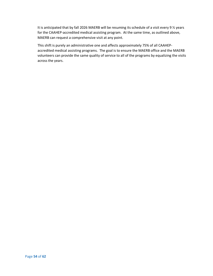It is anticipated that by fall 2026 MAERB will be resuming its schedule of a visit every 9 % years for the CAAHEP-accredited medical assisting program. At the same time, as outlined above, MAERB can request a comprehensive visit at any point.

This shift is purely an administrative one and affects approximately 75% of all CAAHEPaccredited medical assisting programs. The goal is to ensure the MAERB office and the MAERB volunteers can provide the same quality of service to all of the programs by equalizing the visits across the years.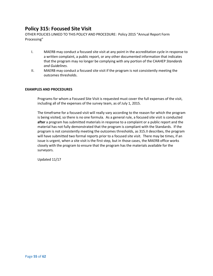### <span id="page-54-0"></span>**Policy 315: Focused Site Visit**

OTHER POLICIES LINKED TO THIS POLICY AND PROCEDURE: Policy 2015 "Annual Report Form Processing"

- I. MAERB may conduct a focused site visit at any point in the accreditation cycle in response to a written complaint, a public report, or any other documented information that indicates that the program may no longer be complying with any portion of the CAAHEP *Standards and Guidelines*.
- II. MAERB may conduct a focused site visit if the program is not consistently meeting the outcomes thresholds.

#### **EXAMPLES AND PROCEDURES**

Programs for whom a Focused Site Visit is requested must cover the full expenses of the visit, including all of the expenses of the survey team, as of July 1, 2015.

The timeframe for a focused visit will really vary according to the reason for which the program is being visited, so there is no one formula. As a general rule, a focused site visit is conducted **after** a program has submitted materials in response to a complaint or a public report and the material has not fully demonstrated that the program is compliant with the Standards. If the program is not consistently meeting the outcomes thresholds, as 315.II describes, the program will have submitted two formal reports prior to a focused site visit. There may be times, if an issue is urgent, when a site visit is the first step, but in those cases, the MAERB office works closely with the program to ensure that the program has the materials available for the surveyors.

Updated 11/17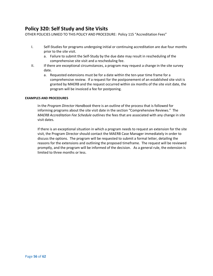### <span id="page-55-0"></span>**Policy 320: Self Study and Site Visits**

OTHER POLICIES LINKED TO THIS POLICY AND PROCEDURE: Policy 115 "Accreditation Fees"

- I. Self-Studies for programs undergoing initial or continuing accreditation are due four months prior to the site visit.
	- a. Failure to submit the Self-Study by the due date may result in rescheduling of the comprehensive site visit and a rescheduling fee.
- II. If there are exceptional circumstances, a program may request a change in the site survey date.
	- a. Requested extensions must be for a date within the ten-year time frame for a comprehensive review. If a request for the postponement of an established site visit is granted by MAERB and the request occurred within six months of the site visit date, the program will be invoiced a fee for postponing.

#### **EXAMPLES AND PROCEDURES**

In the *Program Director Handbook* there is an outline of the process that is followed for informing programs about the site visit date in the section "Comprehensive Reviews." The *MAERB Accreditation Fee Schedule* outlines the fees that are associated with any change in site visit dates.

If there is an exceptional situation in which a program needs to request an extension for the site visit, the Program Director should contact the MAERB Case Manager immediately in order to discuss the options. The program will be requested to submit a formal letter, detailing the reasons for the extensions and outlining the proposed timeframe. The request will be reviewed promptly, and the program will be informed of the decision. As a general rule, the extension is limited to three months or less.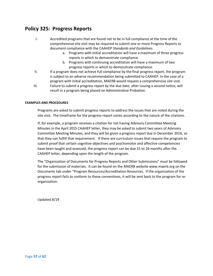### <span id="page-56-0"></span>**Policy 325: Progress Reports**

- I. Accredited programs that are found not to be in full compliance at the time of the comprehensive site visit may be required to submit one or more Progress Reports to document compliance with the CAAHEP *Standards and Guidelines*.
	- a. Programs with initial accreditation will have a maximum of three progress reports in which to demonstrate compliance.
	- b. Programs with continuing accreditation will have a maximum of two progress reports in which to demonstrate compliance.
- II. If a program does not achieve full compliance by the final progress report, the program is subject to an adverse recommendation being submitted to CAAHEP. In the case of a program with initial accreditation, MAERB would request a comprehensive site visit.
- III. Failure to submit a progress report by the due date, after issuing a second notice, will result in a program being placed on Administrative Probation.

#### **EXAMPLES AND PROCEDURES**

Programs are asked to submit progress reports to address the issues that are noted during the site visit. The timeframe for the progress report varies according to the nature of the citations.

If, for example, a program receives a citation for not having Advisory Committee Meeting Minutes in the April 2015 CAAHEP letter, they may be asked to submit two years of Advisory Committee Meeting Minutes, and they will be given a progress report due in December 2016, so that they can fulfill that requirement. If there are curriculum issues that require the program to submit proof that certain cognitive objectives and psychomotor and affective competencies have been taught and assessed, the progress report can be due 15 to 26 months after the CAAHEP letter, depending upon the length of the program.

The "Organization of Documents for Progress Reports and Other Submissions" must be followed for the submission of materials. It can be found on the MAERB website www.maerb.org on the Documents tab under "Program Resources/Accreditation Resources. If the organization of the progress report fails to conform to these conventions, it will be sent back to the program for reorganization.

Updated 8/19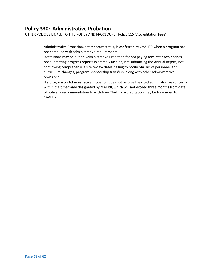### <span id="page-57-0"></span>**Policy 330: Administrative Probation**

OTHER POLICIES LINKED TO THIS POLICY AND PROCEDURE: Policy 115 "Accreditation Fees"

- I. Administrative Probation, a temporary status, is conferred by CAAHEP when a program has not complied with administrative requirements.
- II. Institutions may be put on Administrative Probation for not paying fees after two notices, not submitting progress reports in a timely fashion, not submitting the Annual Report, not confirming comprehensive site review dates, failing to notify MAERB of personnel and curriculum changes, program sponsorship transfers, along with other administrative omissions.
- III. If a program on Administrative Probation does not resolve the cited administrative concerns within the timeframe designated by MAERB, which will not exceed three months from date of notice, a recommendation to withdraw CAAHEP accreditation may be forwarded to CAAHEP.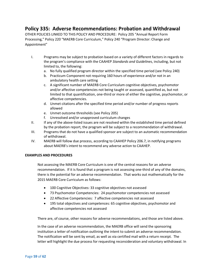### <span id="page-58-0"></span>**Policy 335: Adverse Recommendations: Probation and Withdrawal**

OTHER POLICIES LINKED TO THIS POLICY AND PROCEDURE: Policy 205 "Annual Report Form Processing," Policy 220 "MAERB Core Curriculum," Policy 240 "Program Director: Change and Appointment"

- I. Programs may be subject to probation based on a variety of different factors in regards to the program's compliance with the CAAHEP *Standards and Guidelines*, including, but not limited to, the following:
	- a. No fully qualified program director within the specified time period (see Policy 240)
	- b. Practicum Component not requiring 160 hours of experience and/or not in an ambulatory health care setting
	- c. A significant number of MAERB Core Curriculum cognitive objectives, psychomotor and/or affective competencies not being taught or assessed, quantified as, but not limited to that quantification, one-third or more of either the cognitive, psychomotor, or affective competencies.
	- d. Unmet citations after the specified time period and/or number of progress reports allowed
	- e. Unmet outcome thresholds (see Policy 205)
	- f. Unresolved and/or unapproved curriculum changes
- II. If any of the above-listed issues are not resolved within the established time period defined by the probation report, the program will be subject to a recommendation of withdrawal.
- III. Programs that do not have a qualified sponsor are subject to an automatic recommendation of withdrawal.
- IV. MAERB will follow due process, according to CAAHEP Policy 206.7, in notifying programs about MAERB's intent to recommend any adverse action to CAAHEP.

#### **EXAMPLES AND PROCEDURES**

Not assessing the MAERB Core Curriculum is one of the central reasons for an adverse recommendation. If it is found that a program is not assessing one-third of any of the domains, there is the potential for an adverse recommendation. That works out mathematically for the 2015 MAERB Core Curriculum as follows:

- 100 Cognitive Objectives: 33 cognitive objectives not assessed
- 73 Psychomotor Competencies: 24 psychomotor competencies not assessed
- 22 Affective Competencies: 7 affective competencies not assessed
- 195 total objectives and competences: 65 cognitive objectives, psychomotor and affective competencies not assessed

There are, of course, other reasons for adverse recommendations, and those are listed above.

In the case of an adverse recommendation, the MAERB office will send the sponsoring institution a letter of notification outlining the intent to submit an adverse recommendation. The notification will be sent by email, as well as via certified mail with a return receipt. The letter will highlight the due process for requesting reconsideration and voluntary withdrawal. In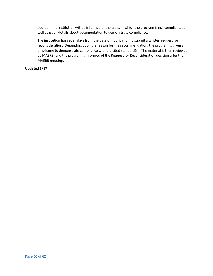addition, the institution will be informed of the areas in which the program is not compliant, as well as given details about documentation to demonstrate compliance.

The institution has seven days from the date of notification to submit a written request for reconsideration. Depending upon the reason for the recommendation, the program is given a timeframe to demonstrate compliance with the cited standard(s). The material is then reviewed by MAERB, and the program is informed of the Request for Reconsideration decision after the MAERB meeting.

### **Updated 2/17**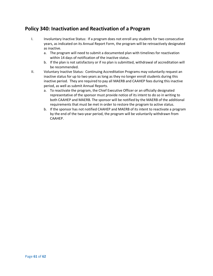### <span id="page-60-0"></span>**Policy 340: Inactivation and Reactivation of a Program**

- I. Involuntary Inactive Status: If a program does not enroll any students for two consecutive years, as indicated on its Annual Report Form, the program will be retroactively designated as inactive.
	- a. The program will need to submit a documented plan with timelines for reactivation within 14 days of notification of the inactive status.
	- b. If the plan is not satisfactory or if no plan is submitted, withdrawal of accreditation will be recommended.
- II. Voluntary Inactive Status: Continuing Accreditation Programs may voluntarily request an inactive status for up to two years as long as they no longer enroll students during this inactive period. They are required to pay all MAERB and CAAHEP fees during this inactive period, as well as submit Annual Reports.
	- a. To reactivate the program, the Chief Executive Officer or an officially designated representative of the sponsor must provide notice of its intent to do so in writing to both CAAHEP and MAERB. The sponsor will be notified by the MAERB of the additional requirements that must be met in order to restore the program to active status.
	- b. If the sponsor has not notified CAAHEP and MAERB of its intent to reactivate a program by the end of the two-year period, the program will be voluntarily withdrawn from CAAHEP.